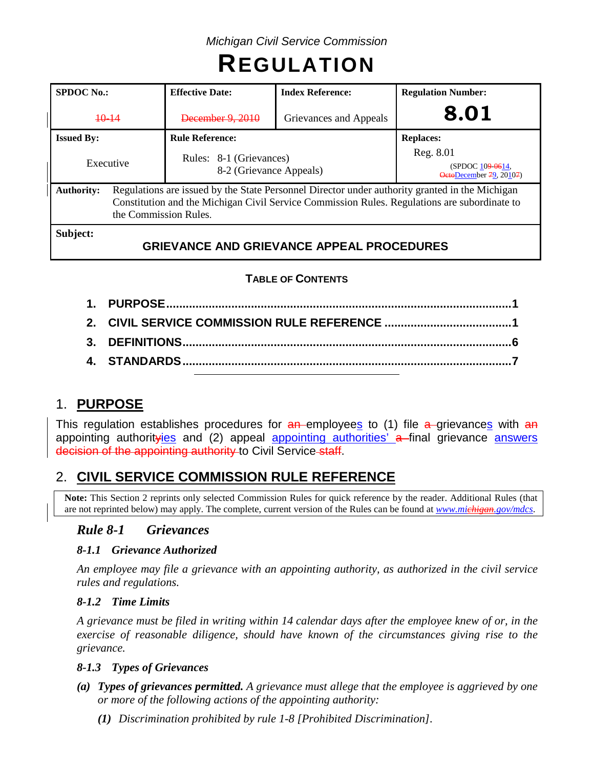# **REGULATION**

| <b>SPDOC</b> No.: |                                                                                                                                                                                                                         | <b>Effective Date:</b>                             | <b>Index Reference:</b> | <b>Regulation Number:</b>                                |  |  |
|-------------------|-------------------------------------------------------------------------------------------------------------------------------------------------------------------------------------------------------------------------|----------------------------------------------------|-------------------------|----------------------------------------------------------|--|--|
| $+0-14$           |                                                                                                                                                                                                                         | December 9, 2010                                   | Grievances and Appeals  | 8.01                                                     |  |  |
| <b>Issued By:</b> |                                                                                                                                                                                                                         | <b>Rule Reference:</b>                             |                         | <b>Replaces:</b>                                         |  |  |
| Executive         |                                                                                                                                                                                                                         | Rules: 8-1 (Grievances)<br>8-2 (Grievance Appeals) |                         | Reg. 8.01<br>(SPDOC 109-0614)<br>OctoDecember 79, 20107) |  |  |
| <b>Authority:</b> | Regulations are issued by the State Personnel Director under authority granted in the Michigan<br>Constitution and the Michigan Civil Service Commission Rules. Regulations are subordinate to<br>the Commission Rules. |                                                    |                         |                                                          |  |  |
| Subject:          |                                                                                                                                                                                                                         |                                                    |                         |                                                          |  |  |

# **GRIEVANCE AND GRIEVANCE APPEAL PROCEDURES**

### **TABLE OF CONTENTS**

# 1. **PURPOSE**

This regulation establishes procedures for an employees to (1) file a grievances with an appointing authorityies and  $(2)$  appeal appointing authorities'  $a$ -final grievance answers decision of the appointing authority to Civil Service staff.

# 2. **CIVIL SERVICE COMMISSION RULE REFERENCE**

**Note:** This Section 2 reprints only selected Commission Rules for quick reference by the reader. Additional Rules (that are not reprinted below) may apply. The complete, current version of the Rules can be found at *[www.michigan.gov/mdcs](http://www.mi.gov/mdcs)*.

## *Rule 8-1 Grievances*

#### *8-1.1 Grievance Authorized*

*An employee may file a grievance with an appointing authority, as authorized in the civil service rules and regulations.*

#### *8-1.2 Time Limits*

*A grievance must be filed in writing within 14 calendar days after the employee knew of or, in the exercise of reasonable diligence, should have known of the circumstances giving rise to the grievance.*

#### *8-1.3 Types of Grievances*

- *(a) Types of grievances permitted. A grievance must allege that the employee is aggrieved by one or more of the following actions of the appointing authority:*
	- *(1) Discrimination prohibited by rule 1-8 [Prohibited Discrimination].*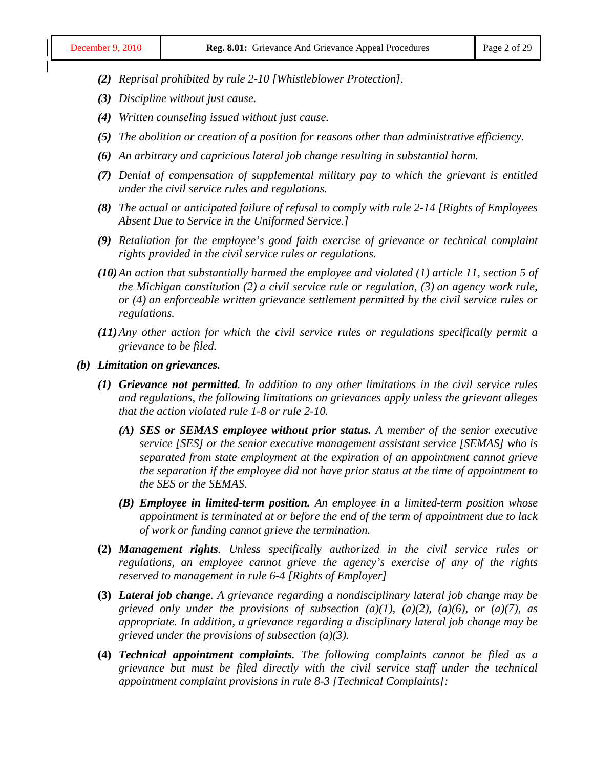- *(2) Reprisal prohibited by rule 2-10 [Whistleblower Protection].*
- *(3) Discipline without just cause.*
- *(4) Written counseling issued without just cause.*
- *(5) The abolition or creation of a position for reasons other than administrative efficiency.*
- *(6) An arbitrary and capricious lateral job change resulting in substantial harm.*
- *(7) Denial of compensation of supplemental military pay to which the grievant is entitled under the civil service rules and regulations.*
- *(8) The actual or anticipated failure of refusal to comply with rule 2-14 [Rights of Employees Absent Due to Service in the Uniformed Service.]*
- *(9) Retaliation for the employee's good faith exercise of grievance or technical complaint rights provided in the civil service rules or regulations.*
- *(10)An action that substantially harmed the employee and violated (1) article 11, section 5 of the Michigan constitution (2) a civil service rule or regulation, (3) an agency work rule, or (4) an enforceable written grievance settlement permitted by the civil service rules or regulations.*
- *(11)Any other action for which the civil service rules or regulations specifically permit a grievance to be filed.*
- *(b) Limitation on grievances.*
	- *(1) Grievance not permitted. In addition to any other limitations in the civil service rules and regulations, the following limitations on grievances apply unless the grievant alleges that the action violated rule 1-8 or rule 2-10.*
		- *(A) SES or SEMAS employee without prior status. A member of the senior executive service [SES] or the senior executive management assistant service [SEMAS] who is separated from state employment at the expiration of an appointment cannot grieve the separation if the employee did not have prior status at the time of appointment to the SES or the SEMAS.*
		- *(B) Employee in limited-term position. An employee in a limited-term position whose appointment is terminated at or before the end of the term of appointment due to lack of work or funding cannot grieve the termination.*
	- **(2)** *Management rights. Unless specifically authorized in the civil service rules or regulations, an employee cannot grieve the agency's exercise of any of the rights reserved to management in rule 6-4 [Rights of Employer]*
	- **(3)** *Lateral job change. A grievance regarding a nondisciplinary lateral job change may be grieved only under the provisions of subsection (a)(1), (a)(2), (a)(6), or (a)(7), as appropriate. In addition, a grievance regarding a disciplinary lateral job change may be grieved under the provisions of subsection (a)(3).*
	- **(4)** *Technical appointment complaints. The following complaints cannot be filed as a grievance but must be filed directly with the civil service staff under the technical appointment complaint provisions in rule 8-3 [Technical Complaints]:*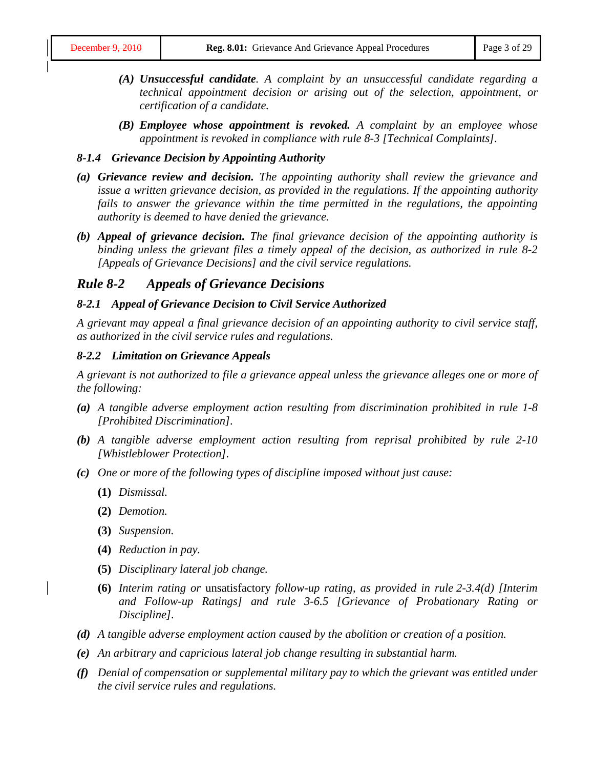- *(A) Unsuccessful candidate. A complaint by an unsuccessful candidate regarding a technical appointment decision or arising out of the selection, appointment, or certification of a candidate.*
- *(B) Employee whose appointment is revoked. A complaint by an employee whose appointment is revoked in compliance with rule 8-3 [Technical Complaints].*

#### *8-1.4 Grievance Decision by Appointing Authority*

- *(a) Grievance review and decision. The appointing authority shall review the grievance and issue a written grievance decision, as provided in the regulations. If the appointing authority fails to answer the grievance within the time permitted in the regulations, the appointing authority is deemed to have denied the grievance.*
- *(b) Appeal of grievance decision. The final grievance decision of the appointing authority is binding unless the grievant files a timely appeal of the decision, as authorized in rule 8-2 [Appeals of Grievance Decisions] and the civil service regulations.*

#### *Rule 8-2 Appeals of Grievance Decisions*

#### *8-2.1 Appeal of Grievance Decision to Civil Service Authorized*

*A grievant may appeal a final grievance decision of an appointing authority to civil service staff, as authorized in the civil service rules and regulations.*

#### *8-2.2 Limitation on Grievance Appeals*

*A grievant is not authorized to file a grievance appeal unless the grievance alleges one or more of the following:*

- *(a) A tangible adverse employment action resulting from discrimination prohibited in rule 1-8 [Prohibited Discrimination].*
- *(b) A tangible adverse employment action resulting from reprisal prohibited by rule 2-10 [Whistleblower Protection].*
- *(c) One or more of the following types of discipline imposed without just cause:*
	- **(1)** *Dismissal.*
	- **(2)** *Demotion.*
	- **(3)** *Suspension.*
	- **(4)** *Reduction in pay.*
	- **(5)** *Disciplinary lateral job change.*
	- **(6)** *Interim rating or* unsatisfactory *follow-up rating, as provided in rule 2-3.4(d) [Interim and Follow-up Ratings] and rule 3-6.5 [Grievance of Probationary Rating or Discipline].*
- *(d) A tangible adverse employment action caused by the abolition or creation of a position.*
- *(e) An arbitrary and capricious lateral job change resulting in substantial harm.*
- *(f) Denial of compensation or supplemental military pay to which the grievant was entitled under the civil service rules and regulations.*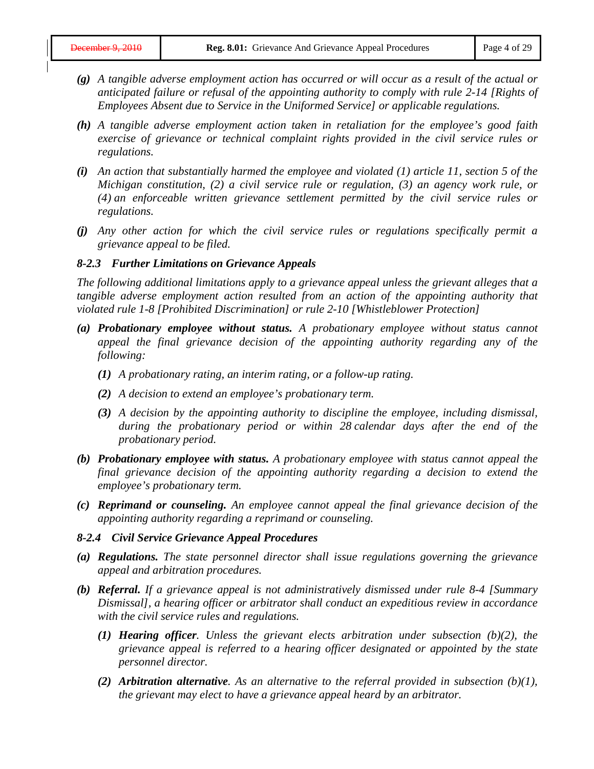- *(g) A tangible adverse employment action has occurred or will occur as a result of the actual or anticipated failure or refusal of the appointing authority to comply with rule 2-14 [Rights of Employees Absent due to Service in the Uniformed Service] or applicable regulations.*
- *(h) A tangible adverse employment action taken in retaliation for the employee's good faith exercise of grievance or technical complaint rights provided in the civil service rules or regulations.*
- *(i) An action that substantially harmed the employee and violated (1) article 11, section 5 of the Michigan constitution, (2) a civil service rule or regulation, (3) an agency work rule, or (4) an enforceable written grievance settlement permitted by the civil service rules or regulations.*
- *(j) Any other action for which the civil service rules or regulations specifically permit a grievance appeal to be filed.*

#### *8-2.3 Further Limitations on Grievance Appeals*

*The following additional limitations apply to a grievance appeal unless the grievant alleges that a tangible adverse employment action resulted from an action of the appointing authority that violated rule 1-8 [Prohibited Discrimination] or rule 2-10 [Whistleblower Protection]*

- *(a) Probationary employee without status. A probationary employee without status cannot appeal the final grievance decision of the appointing authority regarding any of the following:*
	- *(1) A probationary rating, an interim rating, or a follow-up rating.*
	- *(2) A decision to extend an employee's probationary term.*
	- *(3) A decision by the appointing authority to discipline the employee, including dismissal, during the probationary period or within 28 calendar days after the end of the probationary period.*
- *(b) Probationary employee with status. A probationary employee with status cannot appeal the final grievance decision of the appointing authority regarding a decision to extend the employee's probationary term.*
- *(c) Reprimand or counseling. An employee cannot appeal the final grievance decision of the appointing authority regarding a reprimand or counseling.*

#### *8-2.4 Civil Service Grievance Appeal Procedures*

- *(a) Regulations. The state personnel director shall issue regulations governing the grievance appeal and arbitration procedures.*
- *(b) Referral. If a grievance appeal is not administratively dismissed under rule 8-4 [Summary Dismissal], a hearing officer or arbitrator shall conduct an expeditious review in accordance with the civil service rules and regulations.*
	- *(1) Hearing officer. Unless the grievant elects arbitration under subsection (b)(2), the grievance appeal is referred to a hearing officer designated or appointed by the state personnel director.*
	- *(2) Arbitration alternative. As an alternative to the referral provided in subsection (b)(1), the grievant may elect to have a grievance appeal heard by an arbitrator.*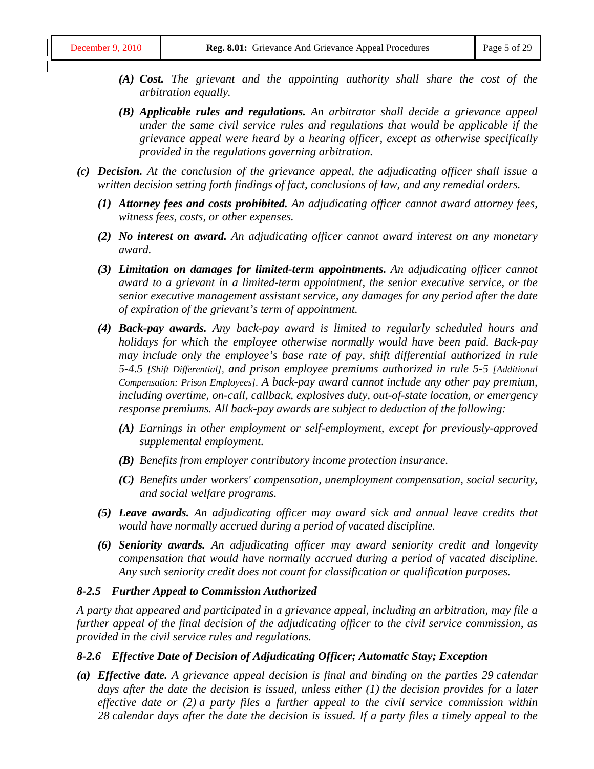- *(A) Cost. The grievant and the appointing authority shall share the cost of the arbitration equally.*
- *(B) Applicable rules and regulations. An arbitrator shall decide a grievance appeal under the same civil service rules and regulations that would be applicable if the grievance appeal were heard by a hearing officer, except as otherwise specifically provided in the regulations governing arbitration.*
- *(c) Decision. At the conclusion of the grievance appeal, the adjudicating officer shall issue a written decision setting forth findings of fact, conclusions of law, and any remedial orders.*
	- *(1) Attorney fees and costs prohibited. An adjudicating officer cannot award attorney fees, witness fees, costs, or other expenses.*
	- *(2) No interest on award. An adjudicating officer cannot award interest on any monetary award.*
	- *(3) Limitation on damages for limited-term appointments. An adjudicating officer cannot award to a grievant in a limited-term appointment, the senior executive service, or the senior executive management assistant service, any damages for any period after the date of expiration of the grievant's term of appointment.*
	- *(4) Back-pay awards. Any back-pay award is limited to regularly scheduled hours and holidays for which the employee otherwise normally would have been paid. Back-pay may include only the employee's base rate of pay, shift differential authorized in rule 5-4.5 [Shift Differential], and prison employee premiums authorized in rule 5-5 [Additional Compensation: Prison Employees]. A back-pay award cannot include any other pay premium, including overtime, on-call, callback, explosives duty, out-of-state location, or emergency response premiums. All back-pay awards are subject to deduction of the following:*
		- *(A) Earnings in other employment or self-employment, except for previously-approved supplemental employment.*
		- *(B) Benefits from employer contributory income protection insurance.*
		- *(C) Benefits under workers' compensation, unemployment compensation, social security, and social welfare programs.*
	- *(5) Leave awards. An adjudicating officer may award sick and annual leave credits that would have normally accrued during a period of vacated discipline.*
	- *(6) Seniority awards. An adjudicating officer may award seniority credit and longevity compensation that would have normally accrued during a period of vacated discipline. Any such seniority credit does not count for classification or qualification purposes.*

#### *8-2.5 Further Appeal to Commission Authorized*

*A party that appeared and participated in a grievance appeal, including an arbitration, may file a further appeal of the final decision of the adjudicating officer to the civil service commission, as provided in the civil service rules and regulations.*

#### *8-2.6 Effective Date of Decision of Adjudicating Officer; Automatic Stay; Exception*

*(a) Effective date. A grievance appeal decision is final and binding on the parties 29 calendar days after the date the decision is issued, unless either (1) the decision provides for a later effective date or (2) a party files a further appeal to the civil service commission within 28 calendar days after the date the decision is issued. If a party files a timely appeal to the*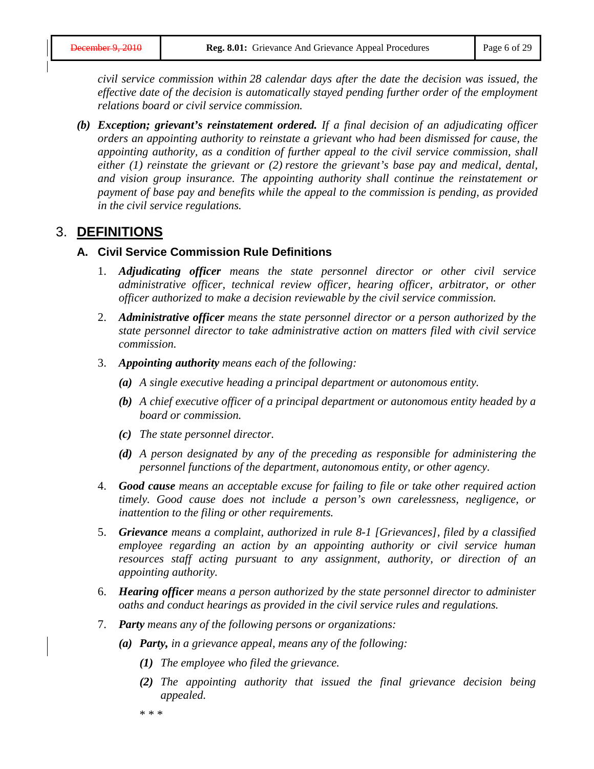*civil service commission within 28 calendar days after the date the decision was issued, the effective date of the decision is automatically stayed pending further order of the employment relations board or civil service commission.*

*(b) Exception; grievant's reinstatement ordered. If a final decision of an adjudicating officer orders an appointing authority to reinstate a grievant who had been dismissed for cause, the appointing authority, as a condition of further appeal to the civil service commission, shall either (1) reinstate the grievant or (2) restore the grievant's base pay and medical, dental, and vision group insurance. The appointing authority shall continue the reinstatement or payment of base pay and benefits while the appeal to the commission is pending, as provided in the civil service regulations.*

#### 3. **DEFINITIONS**

#### **A. Civil Service Commission Rule Definitions**

- 1. *Adjudicating officer means the state personnel director or other civil service administrative officer, technical review officer, hearing officer, arbitrator, or other officer authorized to make a decision reviewable by the civil service commission.*
- 2. *Administrative officer means the state personnel director or a person authorized by the state personnel director to take administrative action on matters filed with civil service commission.*
- 3. *Appointing authority means each of the following:*
	- *(a) A single executive heading a principal department or autonomous entity.*
	- *(b) A chief executive officer of a principal department or autonomous entity headed by a board or commission.*
	- *(c) The state personnel director.*
	- *(d) A person designated by any of the preceding as responsible for administering the personnel functions of the department, autonomous entity, or other agency.*
- 4. *Good cause means an acceptable excuse for failing to file or take other required action timely. Good cause does not include a person's own carelessness, negligence, or inattention to the filing or other requirements.*
- 5. *Grievance means a complaint, authorized in rule 8-1 [Grievances], filed by a classified employee regarding an action by an appointing authority or civil service human resources staff acting pursuant to any assignment, authority, or direction of an appointing authority.*
- 6. *Hearing officer means a person authorized by the state personnel director to administer oaths and conduct hearings as provided in the civil service rules and regulations.*
- 7. *Party means any of the following persons or organizations:*
	- *(a) Party, in a grievance appeal, means any of the following:*
		- *(1) The employee who filed the grievance.*
		- *(2) The appointing authority that issued the final grievance decision being appealed.*

\* \* \*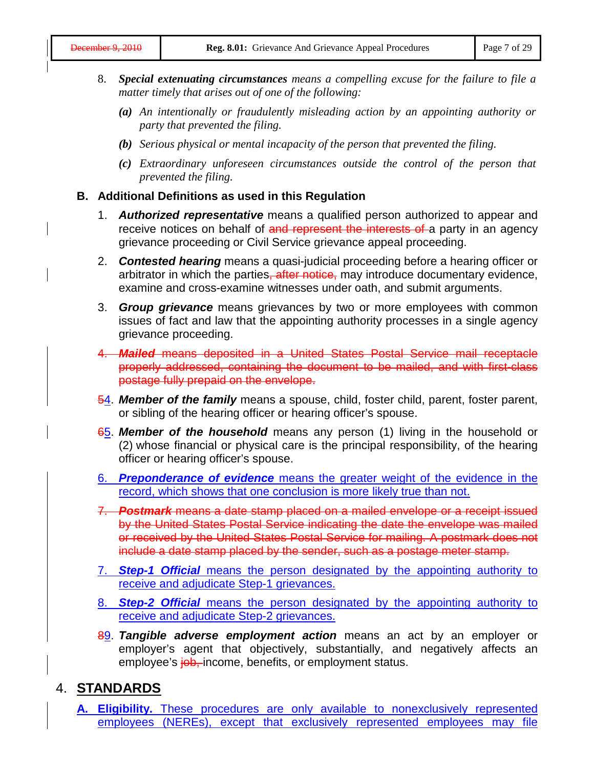- 8. *Special extenuating circumstances means a compelling excuse for the failure to file a matter timely that arises out of one of the following:*
	- *(a) An intentionally or fraudulently misleading action by an appointing authority or party that prevented the filing.*
	- *(b) Serious physical or mental incapacity of the person that prevented the filing.*
	- *(c) Extraordinary unforeseen circumstances outside the control of the person that prevented the filing.*
- **B. Additional Definitions as used in this Regulation**
	- 1. *Authorized representative* means a qualified person authorized to appear and receive notices on behalf of and represent the interests of a party in an agency grievance proceeding or Civil Service grievance appeal proceeding.
	- 2. *Contested hearing* means a quasi-judicial proceeding before a hearing officer or arbitrator in which the parties, after notice, may introduce documentary evidence, examine and cross-examine witnesses under oath, and submit arguments.
	- 3. *Group grievance* means grievances by two or more employees with common issues of fact and law that the appointing authority processes in a single agency grievance proceeding.
	- 4. *Mailed* means deposited in a United States Postal Service mail receptacle properly addressed, containing the document to be mailed, and with first-class postage fully prepaid on the envelope.
	- 54. *Member of the family* means a spouse, child, foster child, parent, foster parent, or sibling of the hearing officer or hearing officer's spouse.
	- 65. Member of the household means any person (1) living in the household or (2) whose financial or physical care is the principal responsibility, of the hearing officer or hearing officer's spouse.
	- 6. *Preponderance of evidence* means the greater weight of the evidence in the record, which shows that one conclusion is more likely true than not.
	- 7. *Postmark* means a date stamp placed on a mailed envelope or a receipt issued by the United States Postal Service indicating the date the envelope was mailed or received by the United States Postal Service for mailing. A postmark does not include a date stamp placed by the sender, such as a postage meter stamp.
	- 7. *Step-1 Official* means the person designated by the appointing authority to receive and adjudicate Step-1 grievances.
	- 8. *Step-2 Official* means the person designated by the appointing authority to receive and adjudicate Step-2 grievances.
	- 89. *Tangible adverse employment action* means an act by an employer or employer's agent that objectively, substantially, and negatively affects an employee's job, income, benefits, or employment status.

#### 4. **STANDARDS**

**Eligibility.** These procedures are only available to nonexclusively represented employees (NEREs), except that exclusively represented employees may file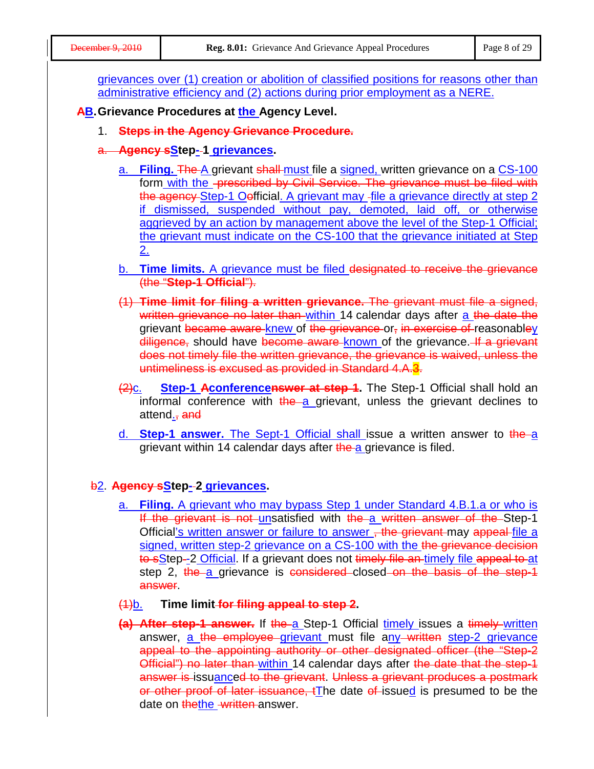grievances over (1) creation or abolition of classified positions for reasons other than administrative efficiency and (2) actions during prior employment as a NERE.

**AB.** Grievance Procedures at the Agency Level.

- 1. **Steps in the Agency Grievance Procedure.**
- a. **Agency sStep- 1 grievances.** 
	- a. **Filing.** The A grievant shall must file a signed, written grievance on a CS-100 form with the -prescribed by Civil Service. The grievance must be filed with the agency Step-1 Oefficial. A grievant may -file a grievance directly at step 2 if dismissed, suspended without pay, demoted, laid off, or otherwise aggrieved by an action by management above the level of the Step-1 Official; the grievant must indicate on the CS-100 that the grievance initiated at Step 2.
	- b. **Time limits.** A grievance must be filed designated to receive the grievance (the "**Step-1 Official**").
	- (1) **Time limit for filing a written grievance.** The grievant must file a signed, written grievance no later than within 14 calendar days after a the date the grievant became aware knew of the grievance or, in exercise of reasonabley diligence, should have become aware known of the grievance. If a grievant does not timely file the written grievance, the grievance is waived, unless the untimeliness is excused as provided in Standard 4.A.<sup>3</sup>.
	- (2)c. **Step-1 Aconferencenswer at step 1.** The Step-1 Official shall hold an informal conference with the a grievant, unless the grievant declines to attend., and
	- d. **Step-1 answer.** The Sept-1 Official shall issue a written answer to the a grievant within 14 calendar days after the a grievance is filed.

#### **b2. Agency sStep-2 grievances.**

a. **Filing.** A grievant who may bypass Step 1 under Standard 4.B.1.a or who is If the grievant is not unsatisfied with the a written answer of the Step-1 Official's written answer or failure to answer, the grievant may appeal file a signed, written step-2 grievance on a CS-100 with the the grievance decision to sStep--2 Official. If a grievant does not timely file an-timely file appeal to at step 2, the a grievance is considered closed on the basis of the step-1 answer.

#### (1)b. **Time limit for filing appeal to step 2.**

**(a) After step-1 answer.** If the a Step-1 Official timely issues a timely written answer, a the employee grievant must file any written step-2 grievance appeal to the appointing authority or other designated officer (the "Step-2 Official") no later than within 14 calendar days after the date that the step-1 answer is issuanced to the grievant. Unless a grievant produces a postmark or other proof of later issuance, tThe date of issued is presumed to be the date on thethe written answer.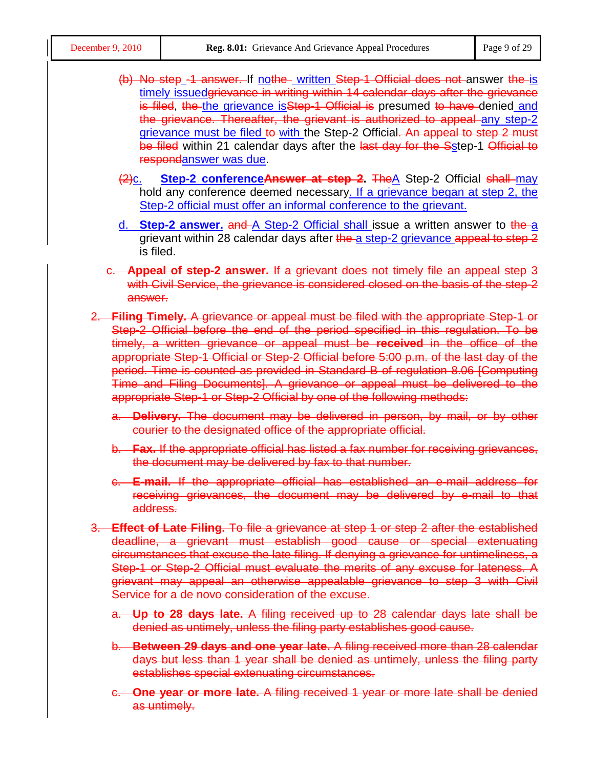| December 9, 2010 | Reg. 8.01: Grievance And Grievance Appeal Procedures                                                                                                                                                                                                                                                                                                                                                                                                                                                                                                                                         | Page 9 of 29 |
|------------------|----------------------------------------------------------------------------------------------------------------------------------------------------------------------------------------------------------------------------------------------------------------------------------------------------------------------------------------------------------------------------------------------------------------------------------------------------------------------------------------------------------------------------------------------------------------------------------------------|--------------|
|                  | (b) No step_-1 answer. If nothe written Step-1 Official does not answer the is<br>timely issuedgrievance in writing within 14 calendar days after the grievance<br>is filed, the the grievance is Step-1 Official is presumed to have denied and<br>the grievance. Thereafter, the grievant is authorized to appeal any step-2<br>grievance must be filed to with the Step-2 Official. An appeal to step 2 must<br>be filed within 21 calendar days after the last day for the Sstep-1 Official to<br>respondanswer was due.                                                                 |              |
| <u>(2)c.</u>     | <b>Step-2 conference Answer at step 2.</b> The A Step-2 Official shall may<br>hold any conference deemed necessary. If a grievance began at step 2, the<br>Step-2 official must offer an informal conference to the grievant.                                                                                                                                                                                                                                                                                                                                                                |              |
|                  | d. Step-2 answer. and A Step-2 Official shall issue a written answer to the a<br>grievant within 28 calendar days after the a step-2 grievance appeal to step 2<br>is filed.                                                                                                                                                                                                                                                                                                                                                                                                                 |              |
|                  | e. Appeal of step-2 answer. If a grievant does not timely file an appeal step 3<br>with Civil Service, the grievance is considered closed on the basis of the step-2<br>answer.                                                                                                                                                                                                                                                                                                                                                                                                              |              |
|                  | 2. Filing Timely. A grievance or appeal must be filed with the appropriate Step-1 or<br>Step-2 Official before the end of the period specified in this regulation. To be<br>timely, a written grievance or appeal must be received in the office of the<br>appropriate Step-1 Official or Step-2 Official before 5:00 p.m. of the last day of the<br>period. Time is counted as provided in Standard B of regulation 8.06 [Computing<br>Time and Filing Documents]. A grievance or appeal must be delivered to the<br>appropriate Step-1 or Step-2 Official by one of the following methods: |              |
|                  | a. Delivery. The document may be delivered in person, by mail, or by other<br>courier to the designated office of the appropriate official.                                                                                                                                                                                                                                                                                                                                                                                                                                                  |              |
|                  | b. Fax. If the appropriate official has listed a fax number for receiving grievances,<br>the document may be delivered by fax to that number.                                                                                                                                                                                                                                                                                                                                                                                                                                                |              |
|                  | e. E-mail. If the appropriate official has established an e-mail address for<br>receiving grievances, the document may be delivered by e-mail to that<br>address.                                                                                                                                                                                                                                                                                                                                                                                                                            |              |
|                  | 3. Effect of Late Filing. To file a grievance at step 1 or step 2 after the established<br>deadline, a grievant must establish good cause or special extenuating<br>circumstances that excuse the late filing. If denying a grievance for untimeliness, a<br>Step-1 or Step-2 Official must evaluate the merits of any excuse for lateness. A<br>grievant may appeal an otherwise appealable grievance to step 3 with Civil<br>Service for a de novo consideration of the excuse.                                                                                                            |              |
|                  | a. Up to 28 days late. A filing received up to 28 calendar days late shall be<br>denied as untimely, unless the filing party establishes good cause.                                                                                                                                                                                                                                                                                                                                                                                                                                         |              |
|                  | b. Between 29 days and one year late. A filing received more than 28 calendar<br>days but less than 1 year shall be denied as untimely, unless the filing party<br>establishes special extenuating circumstances.                                                                                                                                                                                                                                                                                                                                                                            |              |
|                  | e. One year or more late. A filing received 1 year or more late shall be denied<br>as untimely.                                                                                                                                                                                                                                                                                                                                                                                                                                                                                              |              |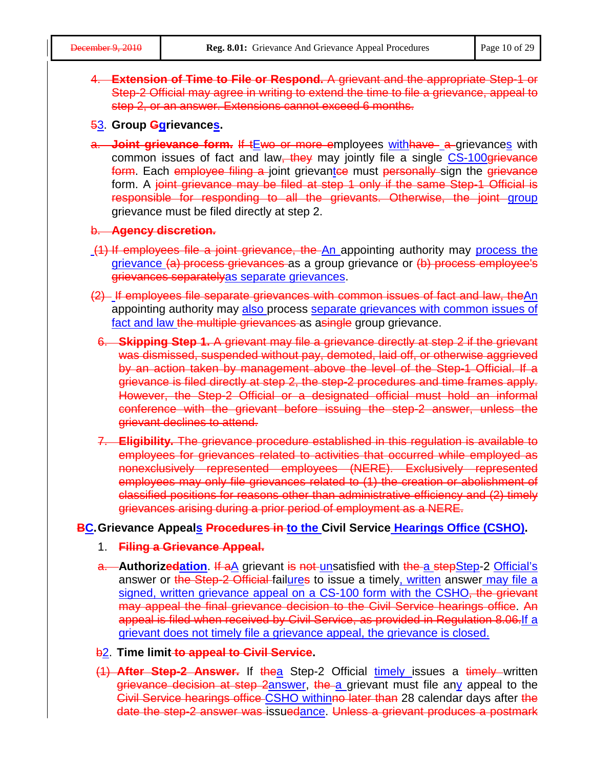- 4. **Extension of Time to File or Respond.** A grievant and the appropriate Step-1 or Step-2 Official may agree in writing to extend the time to file a grievance, appeal to step 2, or an answer. Extensions cannot exceed 6 months.
- 53. **Group Ggrievances.**
- a. **Joint grievance form.** If the word more employees with have a grievances with common issues of fact and law, they may jointly file a single CS-100grievance form. Each employee filing a joint grievantee must personally sign the grievance form. A joint grievance may be filed at step 1 only if the same Step-1 Official is responsible for responding to all the grievants. Otherwise, the joint group grievance must be filed directly at step 2.

#### b. **Agency discretion.**

- (1) If employees file a joint grievance, the An appointing authority may process the grievance (a) process grievances as a group grievance or (b) process employee's grievances separatelyas separate grievances.
- $(2)$  If employees file separate grievances with common issues of fact and law, the An appointing authority may also process separate grievances with common issues of fact and law the multiple grievances as asingle group grievance.
- 6. **Skipping Step 1.** A grievant may file a grievance directly at step 2 if the grievant was dismissed, suspended without pay, demoted, laid off, or otherwise aggrieved by an action taken by management above the level of the Step-1 Official. If a grievance is filed directly at step 2, the step-2 procedures and time frames apply. However, the Step-2 Official or a designated official must hold an informal conference with the grievant before issuing the step-2 answer, unless the grievant declines to attend.
- 7. **Eligibility.** The grievance procedure established in this regulation is available to employees for grievances related to activities that occurred while employed as nonexclusively represented employees (NERE). Exclusively represented employees may only file grievances related to (1) the creation or abolishment of classified positions for reasons other than administrative efficiency and (2) timely grievances arising during a prior period of employment as a NERE.

#### **BC.Grievance Appeals Procedures in to the Civil Service Hearings Office (CSHO).**

#### 1. **Filing a Grievance Appeal.**

- a. **Authorizedation**. If aA grievant is not unsatisfied with the a stepStep-2 Official's answer or the Step-2 Official failures to issue a timely, written answer may file a signed, written grievance appeal on a CS-100 form with the CSHO, the grievant may appeal the final grievance decision to the Civil Service hearings office. An appeal is filed when received by Civil Service, as provided in Regulation 8.06.If a grievant does not timely file a grievance appeal, the grievance is closed.
- b2. **Time limit to appeal to Civil Service.**
- (1) **After Step-2 Answer.** If the a Step-2 Official timely issues a timely written grievance decision at step 2answer, the a grievant must file any appeal to the Civil Service hearings office CSHO withinno later than 28 calendar days after the date the step-2 answer was issuedance. Unless a grievant produces a postmark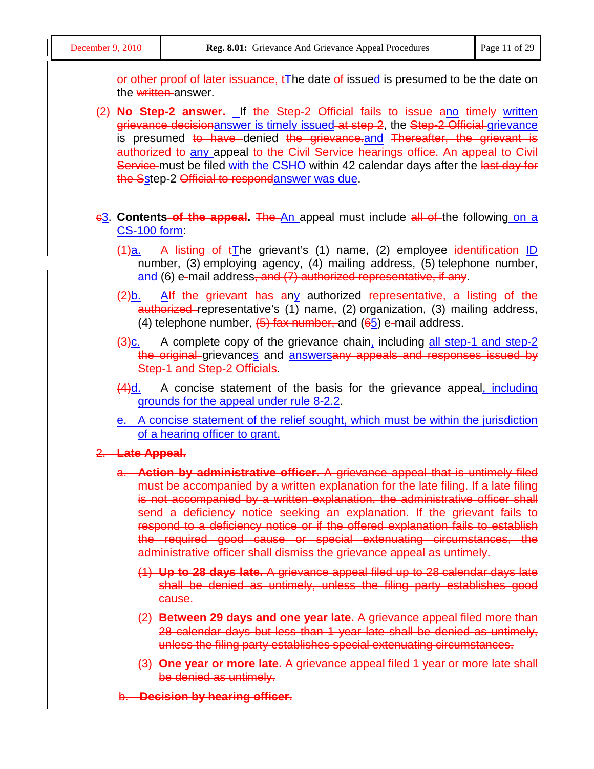or other proof of later issuance,  $t<sub>T</sub>$  he date of issued is presumed to be the date on the written answer.

- (2) **No Step-2 answer.** If the Step-2 Official fails to issue ano timely written grievance decisionanswer is timely issued at step 2, the Step-2 Official grievance is presumed to have denied the grievance and Thereafter, the grievant is authorized to any appeal to the Civil Service hearings office. An appeal to Civil Service-must be filed with the CSHO within 42 calendar days after the last day for the Sstep-2 Official to respondanswer was due.
- c3. **Contents of the appeal.** The An appeal must include all of the following on a CS-100 form:
	- $(1)$ a. A listing of tThe grievant's (1) name, (2) employee identification-ID number, (3) employing agency, (4) mailing address, (5) telephone number, and (6) e-mail address, and (7) authorized representative, if any.
	- $\frac{1}{2}$ b. Alf the grievant has any authorized representative, a listing of the authorized representative's (1) name, (2) organization, (3) mailing address, (4) telephone number,  $\left(5\right)$  fax number, and  $\left(65\right)$  e-mail address.
	- $\frac{1}{2}$ . A complete copy of the grievance chain, including all step-1 and step-2 the original grievances and answersany appeals and responses issued by Step-1 and Step-2 Officials.
	- $\frac{4}{d}$ . A concise statement of the basis for the grievance appeal, including grounds for the appeal under rule 8-2.2.
	- e. A concise statement of the relief sought, which must be within the jurisdiction of a hearing officer to grant.

#### 2. **Late Appeal.**

- a. **Action by administrative officer.** A grievance appeal that is untimely filed must be accompanied by a written explanation for the late filing. If a late filing is not accompanied by a written explanation, the administrative officer shall send a deficiency notice seeking an explanation. If the grievant fails to respond to a deficiency notice or if the offered explanation fails to establish the required good cause or special extenuating circumstances, the administrative officer shall dismiss the grievance appeal as untimely.
	- (1) **Up to 28 days late.** A grievance appeal filed up to 28 calendar days late shall be denied as untimely, unless the filing party establishes good cause.
	- (2) **Between 29 days and one year late.** A grievance appeal filed more than 28 calendar days but less than 1 year late shall be denied as untimely, unless the filing party establishes special extenuating circumstances.
	- (3) **One year or more late.** A grievance appeal filed 1 year or more late shall be denied as untimely.
- b. **Decision by hearing officer.**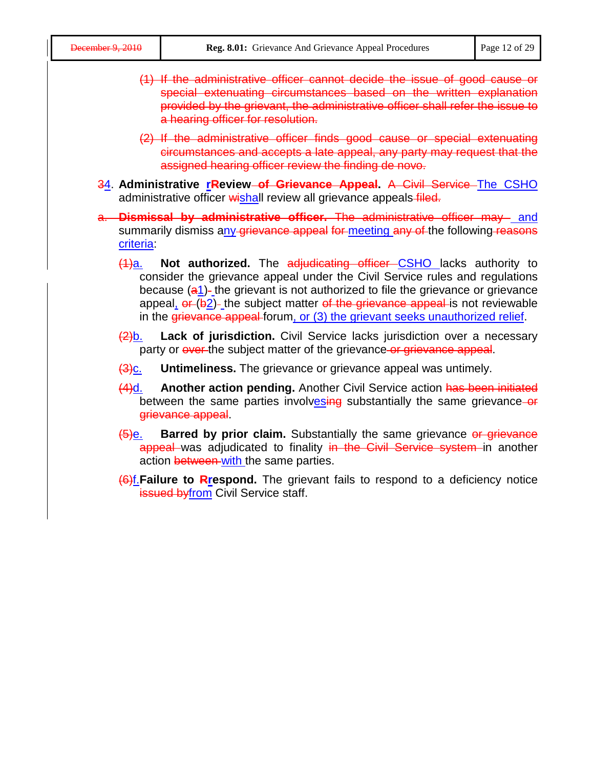| December 9, 2010 |  |  |  |
|------------------|--|--|--|
|                  |  |  |  |

- (1) If the administrative officer cannot decide the issue of good cause or special extenuating circumstances based on the written explanation provided by the grievant, the administrative officer shall refer the issue to a hearing officer for resolution.
	- (2) If the administrative officer finds good cause or special extenuating circumstances and accepts a late appeal, any party may request that the assigned hearing officer review the finding de novo.
- 34. **Administrative rReview of Grievance Appeal.** A Civil Service The CSHO administrative officer wishall review all grievance appeals-filed.
- a. **Dismissal by administrative officer.** The administrative officer may and summarily dismiss any grievance appeal for meeting any of the following reasons criteria:
	- (1)a. **Not authorized.** The adjudicating officer CSHO lacks authority to consider the grievance appeal under the Civil Service rules and regulations because (a1)- the grievant is not authorized to file the grievance or grievance appeal, or (b2)-the subject matter of the grievance appeal is not reviewable in the grievance appeal forum, or (3) the grievant seeks unauthorized relief.
	- (2)b. **Lack of jurisdiction.** Civil Service lacks jurisdiction over a necessary party or over the subject matter of the grievance or grievance appeal.
	- (3)c. **Untimeliness.** The grievance or grievance appeal was untimely.
	- (4)d. **Another action pending.** Another Civil Service action has been initiated between the same parties involvesing substantially the same grievance-or grievance appeal.
	- (5)e. **Barred by prior claim.** Substantially the same grievance or grievance appeal was adjudicated to finality in the Civil Service system in another action between with the same parties.
	- (6)f.**Failure to Rrespond.** The grievant fails to respond to a deficiency notice **issued byfrom Civil Service staff.**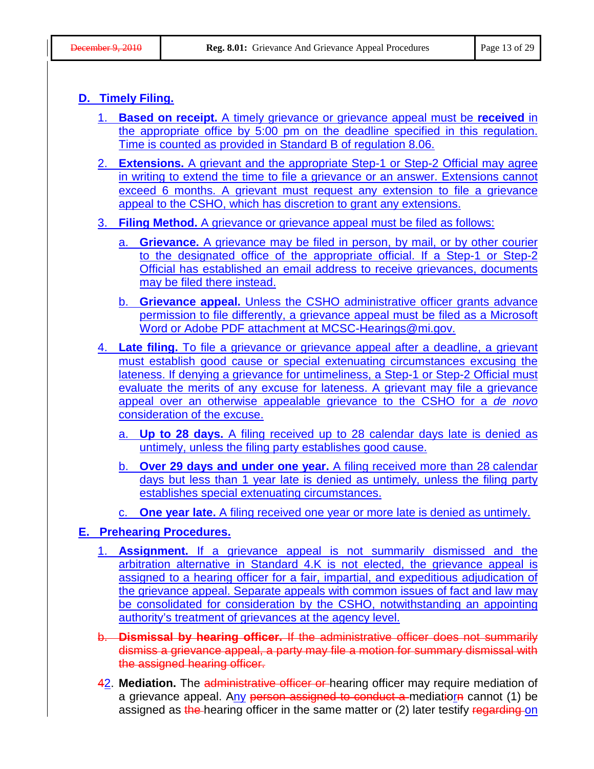#### **D. Timely Filing.**

- 1. **Based on receipt.** A timely grievance or grievance appeal must be **received** in the appropriate office by 5:00 pm on the deadline specified in this regulation. Time is counted as provided in Standard B of regulation 8.06.
- 2. **Extensions.** A grievant and the appropriate Step-1 or Step-2 Official may agree in writing to extend the time to file a grievance or an answer. Extensions cannot exceed 6 months. A grievant must request any extension to file a grievance appeal to the CSHO, which has discretion to grant any extensions.
- 3. **Filing Method.** A grievance or grievance appeal must be filed as follows:
	- a. **Grievance.** A grievance may be filed in person, by mail, or by other courier to the designated office of the appropriate official. If a Step-1 or Step-2 Official has established an email address to receive grievances, documents may be filed there instead.
	- b. **Grievance appeal.** Unless the CSHO administrative officer grants advance permission to file differently, a grievance appeal must be filed as a Microsoft Word or Adobe PDF attachment at [MCSC-Hearings@mi.gov.](mailto:MCSC-Hearings@mi.gov)
- 4. **Late filing.** To file a grievance or grievance appeal after a deadline, a grievant must establish good cause or special extenuating circumstances excusing the lateness. If denying a grievance for untimeliness, a Step-1 or Step-2 Official must evaluate the merits of any excuse for lateness. A grievant may file a grievance appeal over an otherwise appealable grievance to the CSHO for a *de novo* consideration of the excuse.
	- a. **Up to 28 days.** A filing received up to 28 calendar days late is denied as untimely, unless the filing party establishes good cause.
	- b. **Over 29 days and under one year.** A filing received more than 28 calendar days but less than 1 year late is denied as untimely, unless the filing party establishes special extenuating circumstances.
	- c. **One year late.** A filing received one year or more late is denied as untimely.

#### **E. Prehearing Procedures.**

- 1. **Assignment.** If a grievance appeal is not summarily dismissed and the arbitration alternative in Standard 4.K is not elected, the grievance appeal is assigned to a hearing officer for a fair, impartial, and expeditious adjudication of the grievance appeal. Separate appeals with common issues of fact and law may be consolidated for consideration by the CSHO, notwithstanding an appointing authority's treatment of grievances at the agency level.
- b. **Dismissal by hearing officer.** If the administrative officer does not summarily dismiss a grievance appeal, a party may file a motion for summary dismissal with the assigned hearing officer.
- 42. Mediation. The administrative officer or hearing officer may require mediation of a grievance appeal. Any person assigned to conduct a mediatiorn cannot (1) be assigned as the hearing officer in the same matter or (2) later testify regarding on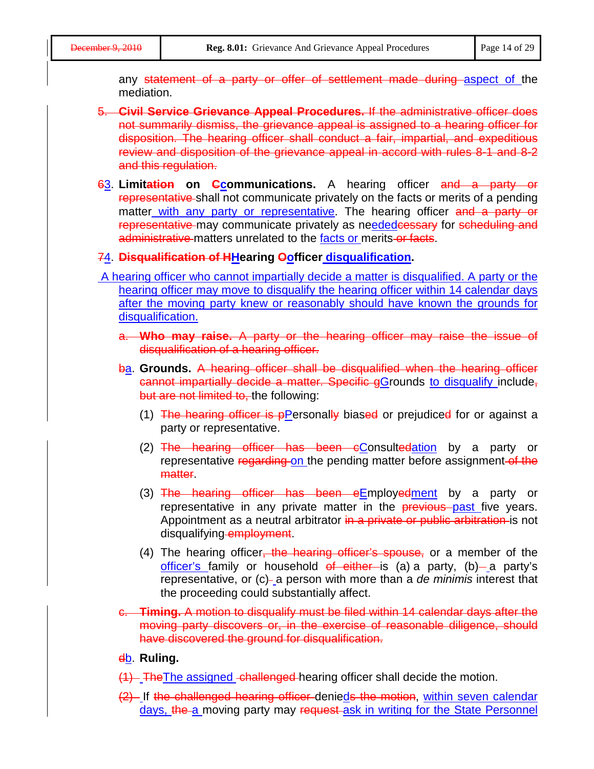any statement of a party or offer of settlement made during aspect of the mediation.

- 5. **Civil Service Grievance Appeal Procedures.** If the administrative officer does not summarily dismiss, the grievance appeal is assigned to a hearing officer for disposition. The hearing officer shall conduct a fair, impartial, and expeditious review and disposition of the grievance appeal in accord with rules 8-1 and 8-2 and this regulation.
- 63. **Limitation on Ccommunications.** A hearing officer and a party or representative shall not communicate privately on the facts or merits of a pending matter with any party or representative. The hearing officer and a party or representative may communicate privately as neededcessary for scheduling and administrative matters unrelated to the facts or merits or facts.

#### 74. **Disqualification of HHearing Oofficer disqualification.**

- A hearing officer who cannot impartially decide a matter is disqualified. A party or the hearing officer may move to disqualify the hearing officer within 14 calendar days after the moving party knew or reasonably should have known the grounds for disqualification.
	- a. **Who may raise.** A party or the hearing officer may raise the issue of disqualification of a hearing officer.
	- ba. **Grounds.** A hearing officer shall be disqualified when the hearing officer cannot impartially decide a matter. Specific gGrounds to disqualify include, but are not limited to, the following:
		- (1) The hearing officer is  $p$  Personally biased or prejudiced for or against a party or representative.
		- (2) The hearing officer has been cConsultedation by a party or representative regarding on the pending matter before assignment of the matter.
		- (3) The hearing officer has been eEmployedment by a party or representative in any private matter in the **previous** past five years. Appointment as a neutral arbitrator in a private or public arbitration is not disqualifying employment.
		- (4) The hearing officer<del>, the hearing officer's spouse,</del> or a member of the officer's family or household  $of$  either is (a) a party, (b) – a party's representative, or (c)-a person with more than a *de minimis* interest that the proceeding could substantially affect.
	- c. **Timing.** A motion to disqualify must be filed within 14 calendar days after the moving party discovers or, in the exercise of reasonable diligence, should have discovered the ground for disqualification.

#### db. **Ruling.**

- (1) The The assigned challenged hearing officer shall decide the motion.
- (2) If the challenged hearing officer denieds the motion, within seven calendar days, the a moving party may request ask in writing for the State Personnel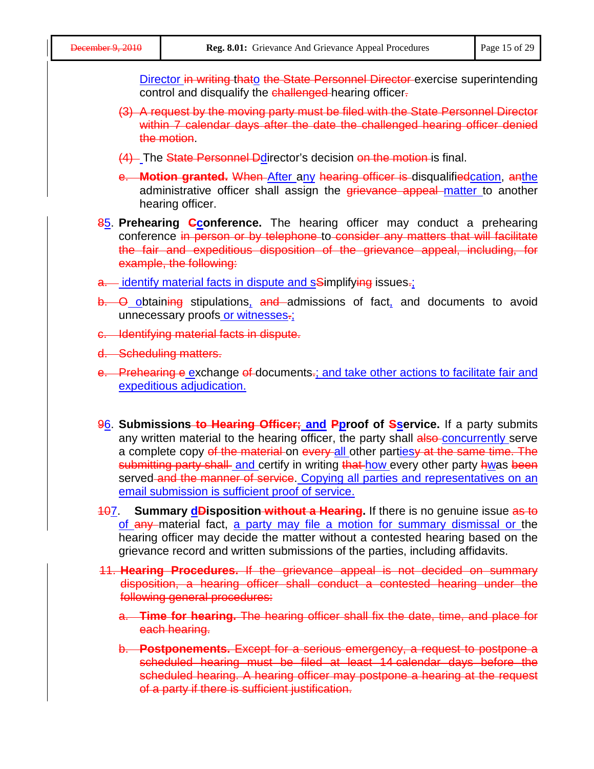Director in writing thato the State Personnel Director exercise superintending control and disqualify the challenged-hearing officer-

- (3) A request by the moving party must be filed with the State Personnel Director within 7 calendar days after the date the challenged hearing officer denied the motion.
- (4) The State Personnel Ddirector's decision on the motion is final.
- e. Motion granted. When After any hearing officer is disqualifiedcation, anthe administrative officer shall assign the *grievance appeal matter* to another hearing officer.
- 85. **Prehearing Gconference.** The hearing officer may conduct a prehearing conference in person or by telephone to consider any matters that will facilitate the fair and expeditious disposition of the grievance appeal, including, for example, the following:
- a. identify material facts in dispute and sSimplifying issues.;
- b. O obtaining stipulations, and admissions of fact, and documents to avoid unnecessary proofs or witnesses.
- c. Identifying material facts in dispute.
- d. Scheduling matters.
- e. Prehearing e exchange of documents-; and take other actions to facilitate fair and expeditious adjudication.
- 96. **Submissions to Hearing Officer; and Pproof of Sservice.** If a party submits any written material to the hearing officer, the party shall also-concurrently serve a complete copy of the material on every all other partiesy at the same time. The submitting party shall and certify in writing that how every other party hwas been served and the manner of service. Copying all parties and representatives on an email submission is sufficient proof of service.
- 107. **Summary dDisposition without a Hearing.** If there is no genuine issue as to of any material fact, a party may file a motion for summary dismissal or the hearing officer may decide the matter without a contested hearing based on the grievance record and written submissions of the parties, including affidavits.
- 11. **Hearing Procedures.** If the grievance appeal is not decided on summary disposition, a hearing officer shall conduct a contested hearing under the following general procedures:
	- a. **Time for hearing.** The hearing officer shall fix the date, time, and place for each hearing.
	- b. **Postponements.** Except for a serious emergency, a request to postpone a scheduled hearing must be filed at least 14 calendar days before the scheduled hearing. A hearing officer may postpone a hearing at the request of a party if there is sufficient justification.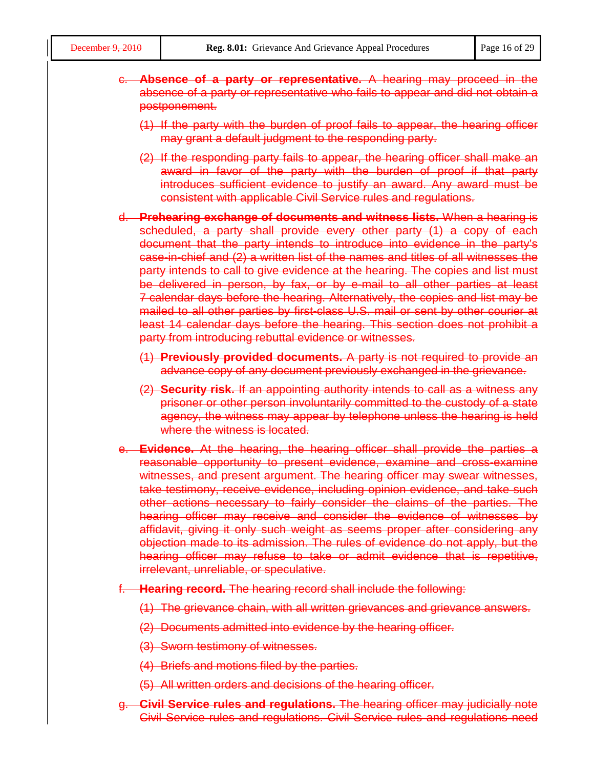| c. Absence of a party or representative. A hearing may proceed in the<br>absence of a party or representative who fails to appear and did not obtain a<br>postponement.                                                                                                                                                                                                                                                                                                                                                                                                                                                                                                                                                                                                                            |
|----------------------------------------------------------------------------------------------------------------------------------------------------------------------------------------------------------------------------------------------------------------------------------------------------------------------------------------------------------------------------------------------------------------------------------------------------------------------------------------------------------------------------------------------------------------------------------------------------------------------------------------------------------------------------------------------------------------------------------------------------------------------------------------------------|
| (1) If the party with the burden of proof fails to appear, the hearing officer<br>may grant a default judgment to the responding party.                                                                                                                                                                                                                                                                                                                                                                                                                                                                                                                                                                                                                                                            |
| (2) If the responding party fails to appear, the hearing officer shall make an<br>award in favor of the party with the burden of proof if that party<br>introduces sufficient evidence to justify an award. Any award must be<br>consistent with applicable Civil Service rules and regulations.                                                                                                                                                                                                                                                                                                                                                                                                                                                                                                   |
| d. Prehearing exchange of documents and witness lists. When a hearing is<br>scheduled, a party shall provide every other party (1) a copy of each<br>document that the party intends to introduce into evidence in the party's<br>case-in-chief and (2) a written list of the names and titles of all witnesses the<br>party intends to call to give evidence at the hearing. The copies and list must<br>be delivered in person, by fax, or by e-mail to all other parties at least<br>7 calendar days before the hearing. Alternatively, the copies and list may be<br>mailed to all other parties by first-class U.S. mail or sent by other courier at<br>least 14 calendar days before the hearing. This section does not prohibit a<br>party from introducing rebuttal evidence or witnesses. |
| (1) Previously provided documents. A party is not required to provide an<br>advance copy of any document previously exchanged in the grievance.                                                                                                                                                                                                                                                                                                                                                                                                                                                                                                                                                                                                                                                    |
| (2) Security risk. If an appointing authority intends to call as a witness any<br>prisoner or other person involuntarily committed to the custody of a state<br>agency, the witness may appear by telephone unless the hearing is held<br>where the witness is located.                                                                                                                                                                                                                                                                                                                                                                                                                                                                                                                            |
| e. Evidence. At the hearing, the hearing officer shall provide the parties a<br>reasonable opportunity to present evidence, examine and cross-examine<br>witnesses, and present argument. The hearing officer may swear witnesses,<br>take testimony, receive evidence, including opinion evidence, and take such<br>other actions necessary to fairly consider the claims of the parties. The<br>hearing officer may receive and consider the evidence of witnesses by<br>affidavit, giving it only such weight as seems proper after considering any<br>objection made to its admission. The rules of evidence do not apply, but the<br>hearing officer may refuse to take or admit evidence that is repetitive,<br>irrelevant, unreliable, or speculative.                                      |
| f. Hearing record. The hearing record shall include the following:                                                                                                                                                                                                                                                                                                                                                                                                                                                                                                                                                                                                                                                                                                                                 |
| (1) The grievance chain, with all written grievances and grievance answers.                                                                                                                                                                                                                                                                                                                                                                                                                                                                                                                                                                                                                                                                                                                        |
| (2) Documents admitted into evidence by the hearing officer.                                                                                                                                                                                                                                                                                                                                                                                                                                                                                                                                                                                                                                                                                                                                       |
| (3) Sworn testimony of witnesses.                                                                                                                                                                                                                                                                                                                                                                                                                                                                                                                                                                                                                                                                                                                                                                  |
| (4) Briefs and motions filed by the parties.                                                                                                                                                                                                                                                                                                                                                                                                                                                                                                                                                                                                                                                                                                                                                       |
| (5) All written orders and decisions of the hearing officer.                                                                                                                                                                                                                                                                                                                                                                                                                                                                                                                                                                                                                                                                                                                                       |

g. **Civil Service rules and regulations.** The hearing officer may judicially note Civil Service rules and regulations. Civil Service rules and regulations need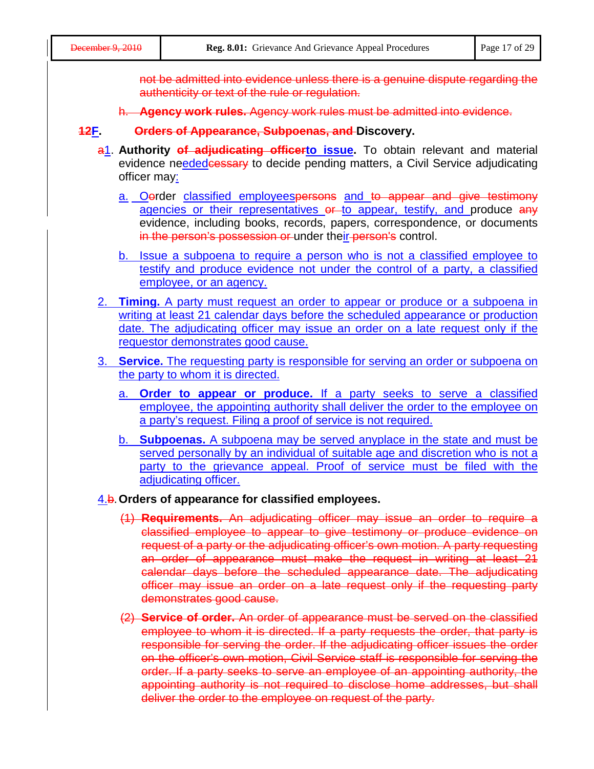not be admitted into evidence unless there is a genuine dispute regarding the authenticity or text of the rule or regulation.

h. **Agency work rules.** Agency work rules must be admitted into evidence.

#### **12F. Orders of Appearance, Subpoenas, and Discovery.**

- a1. **Authority of adjudicating officerto issue.** To obtain relevant and material evidence neededcessary to decide pending matters, a Civil Service adjudicating officer may:
	- a. Oerder classified employeespersons and to appear and give testimony agencies or their representatives or to appear, testify, and produce any evidence, including books, records, papers, correspondence, or documents in the person's possession or under their person's control.
	- b. Issue a subpoena to require a person who is not a classified employee to testify and produce evidence not under the control of a party, a classified employee, or an agency.
- 2. **Timing.** A party must request an order to appear or produce or a subpoena in writing at least 21 calendar days before the scheduled appearance or production date. The adjudicating officer may issue an order on a late request only if the requestor demonstrates good cause.
- 3. **Service.** The requesting party is responsible for serving an order or subpoena on the party to whom it is directed.
	- a. **Order to appear or produce.** If a party seeks to serve a classified employee, the appointing authority shall deliver the order to the employee on a party's request. Filing a proof of service is not required.
	- b. **Subpoenas.** A subpoena may be served anyplace in the state and must be served personally by an individual of suitable age and discretion who is not a party to the grievance appeal. Proof of service must be filed with the adjudicating officer.
- 4.b.**Orders of appearance for classified employees.**
	- (1) **Requirements.** An adjudicating officer may issue an order to require a classified employee to appear to give testimony or produce evidence on request of a party or the adjudicating officer's own motion. A party requesting an order of appearance must make the request in writing at least 21 calendar days before the scheduled appearance date. The adjudicating officer may issue an order on a late request only if the requesting party demonstrates good cause.
	- (2) **Service of order.** An order of appearance must be served on the classified employee to whom it is directed. If a party requests the order, that party is responsible for serving the order. If the adjudicating officer issues the order on the officer's own motion, Civil Service staff is responsible for serving the order. If a party seeks to serve an employee of an appointing authority, the appointing authority is not required to disclose home addresses, but shall deliver the order to the employee on request of the party.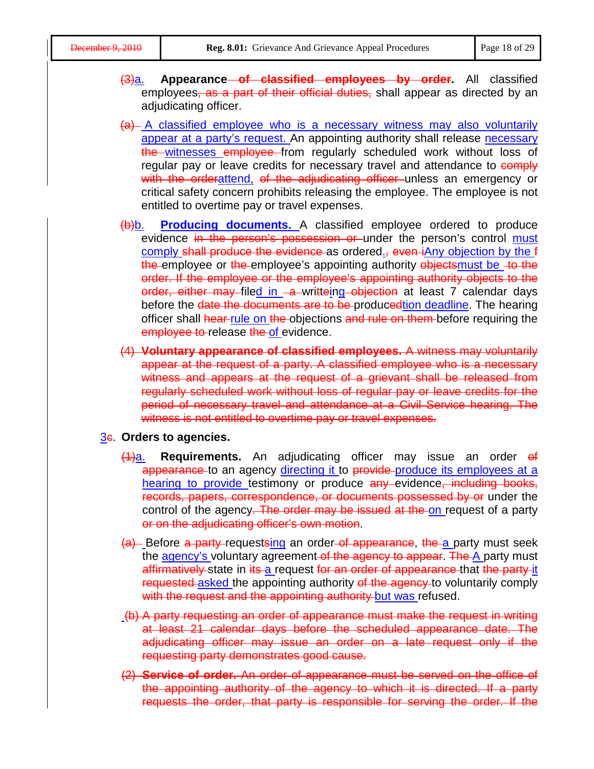- (3)a. **Appearance of classified employees by order.** All classified employees, as a part of their official duties, shall appear as directed by an adjudicating officer.
- (a) A classified employee who is a necessary witness may also voluntarily appear at a party's request. An appointing authority shall release necessary the witnesses employee from regularly scheduled work without loss of regular pay or leave credits for necessary travel and attendance to comply with the orderattend, of the adjudicating officer unless an emergency or critical safety concern prohibits releasing the employee. The employee is not entitled to overtime pay or travel expenses.
- (b)b. **Producing documents.** A classified employee ordered to produce evidence in the person's possession or under the person's control must comply shall produce the evidence as ordered., even iAny objection by the f the employee or the employee's appointing authority objectsmust be to the order. If the employee or the employee's appointing authority objects to the order, either may filed in -a writteing objection at least 7 calendar days before the date the documents are to be producedtion deadline. The hearing officer shall hear-rule on the objections and rule on them before requiring the employee to release the of evidence.
- (4) **Voluntary appearance of classified employees.** A witness may voluntarily appear at the request of a party. A classified employee who is a necessary witness and appears at the request of a grievant shall be released from regularly scheduled work without loss of regular pay or leave credits for the period of necessary travel and attendance at a Civil Service hearing. The witness is not entitled to overtime pay or travel expenses.

#### 3c. **Orders to agencies.**

- (1)a. **Requirements.** An adjudicating officer may issue an order of appearance to an agency directing it to provide produce its employees at a hearing to provide testimony or produce any evidence, including books, records, papers, correspondence, or documents possessed by or under the control of the agency. The order may be issued at the on request of a party or on the adjudicating officer's own motion.
- $(a)$  Before a party requestsing an order of appearance, the a party must seek the agency's voluntary agreement of the agency to appear. The A party must affirmatively state in its a request for an order of appearance that the party it requested asked the appointing authority of the agency to voluntarily comply with the request and the appointing authority but was refused.
- (b) A party requesting an order of appearance must make the request in writing at least 21 calendar days before the scheduled appearance date. The adjudicating officer may issue an order on a late request only if the requesting party demonstrates good cause.
- (2) **Service of order.** An order of appearance must be served on the office of the appointing authority of the agency to which it is directed. If a party requests the order, that party is responsible for serving the order. If the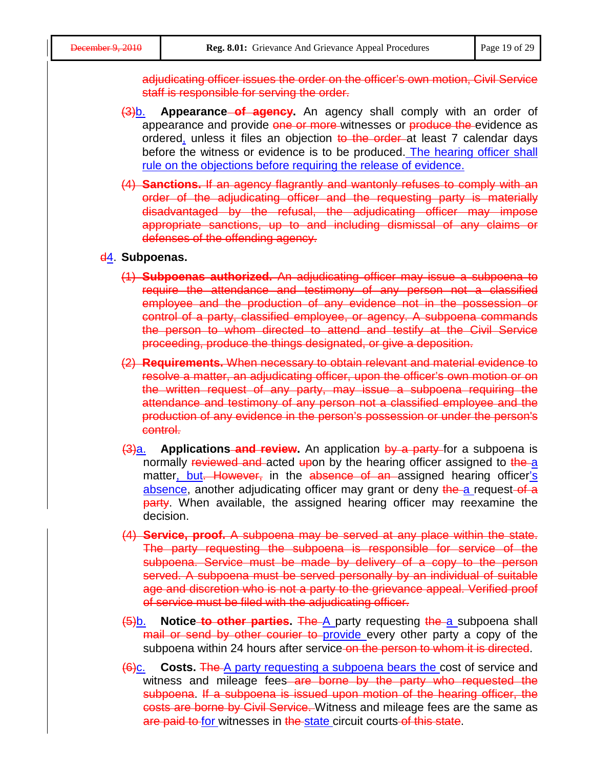adjudicating officer issues the order on the officer's own motion, Civil Service staff is responsible for serving the order.

- (3)b. **Appearance of agency.** An agency shall comply with an order of appearance and provide one or more witnesses or produce the evidence as ordered, unless it files an objection to the order at least 7 calendar days before the witness or evidence is to be produced. The hearing officer shall rule on the objections before requiring the release of evidence.
- (4) **Sanctions.** If an agency flagrantly and wantonly refuses to comply with an order of the adjudicating officer and the requesting party is materially disadvantaged by the refusal, the adjudicating officer may impose appropriate sanctions, up to and including dismissal of any claims or defenses of the offending agency.

#### d4. **Subpoenas.**

- (1) **Subpoenas authorized.** An adjudicating officer may issue a subpoena to require the attendance and testimony of any person not a classified employee and the production of any evidence not in the possession or control of a party, classified employee, or agency. A subpoena commands the person to whom directed to attend and testify at the Civil Service proceeding, produce the things designated, or give a deposition.
- (2) **Requirements.** When necessary to obtain relevant and material evidence to resolve a matter, an adjudicating officer, upon the officer's own motion or on the written request of any party, may issue a subpoena requiring the attendance and testimony of any person not a classified employee and the production of any evidence in the person's possession or under the person's control.
- (3)a. **Applications and review.** An application by a party for a subpoena is normally reviewed and acted upon by the hearing officer assigned to the a matter, but. However, in the absence of an assigned hearing officer's absence, another adjudicating officer may grant or deny the a request of a **party.** When available, the assigned hearing officer may reexamine the decision.
- (4) **Service, proof.** A subpoena may be served at any place within the state. The party requesting the subpoena is responsible for service of the subpoena. Service must be made by delivery of a copy to the person served. A subpoena must be served personally by an individual of suitable age and discretion who is not a party to the grievance appeal. Verified proof of service must be filed with the adjudicating officer.
- (5)b. **Notice to other parties.** The A party requesting the a subpoena shall mail or send by other courier to provide every other party a copy of the subpoena within 24 hours after service on the person to whom it is directed.
- (6)<sub>C.</sub> Costs. The A party requesting a subpoena bears the cost of service and witness and mileage fees are borne by the party who requested the subpoena. If a subpoena is issued upon motion of the hearing officer, the costs are borne by Civil Service. Witness and mileage fees are the same as are paid to for witnesses in the state circuit courts of this state.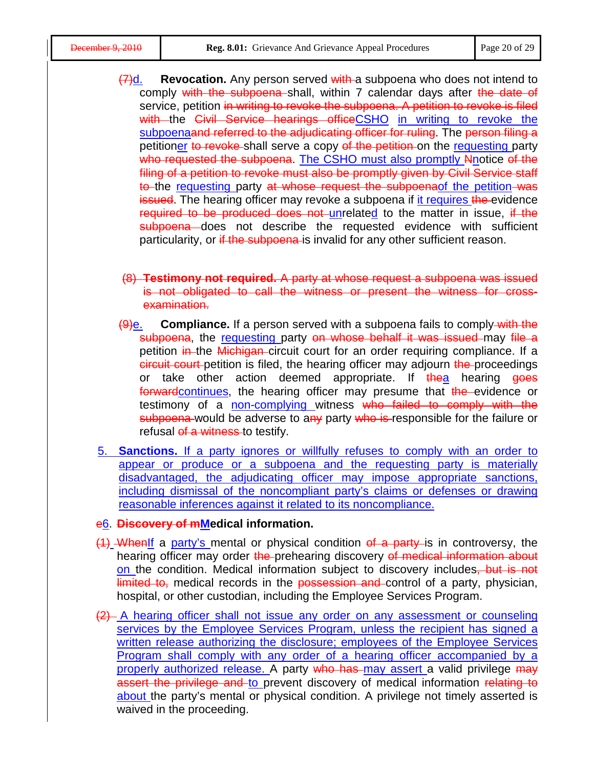- (7)d. **Revocation.** Any person served with a subpoena who does not intend to comply with the subpoena shall, within 7 calendar days after the date of service, petition in writing to revoke the subpoena. A petition to revoke is filed with the Civil Service hearings officeCSHO in writing to revoke the subpoenaand referred to the adjudicating officer for ruling. The person filing a petitioner to revoke shall serve a copy of the petition on the requesting party who requested the subpoena. The CSHO must also promptly Nnotice of the filing of a petition to revoke must also be promptly given by Civil Service staff to the requesting party at whose request the subpoenaof the petition was issued. The hearing officer may revoke a subpoena if it requires the evidence required to be produced does not unrelated to the matter in issue, if the subpoena does not describe the requested evidence with sufficient particularity, or if the subpoena is invalid for any other sufficient reason.
	- (8) **Testimony not required.** A party at whose request a subpoena was issued is not obligated to call the witness or present the witness for crossexamination.
- (9)e. **Compliance.** If a person served with a subpoena fails to comply with the subpoena, the requesting party on whose behalf it was issued may file a petition in the Michigan circuit court for an order requiring compliance. If a eircuit court petition is filed, the hearing officer may adjourn the proceedings or take other action deemed appropriate. If thea hearing goes forwardcontinues, the hearing officer may presume that the evidence or testimony of a non-complying witness who failed to comply with the subpoena would be adverse to any party who is responsible for the failure or refusal of a witness to testify.
- 5. **Sanctions.** If a party ignores or willfully refuses to comply with an order to appear or produce or a subpoena and the requesting party is materially disadvantaged, the adjudicating officer may impose appropriate sanctions, including dismissal of the noncompliant party's claims or defenses or drawing reasonable inferences against it related to its noncompliance.
- e6. **Discovery of mMedical information.**
- $(1)$  WhenIf a party's mental or physical condition of a party is in controversy, the hearing officer may order the prehearing discovery of medical information about on the condition. Medical information subject to discovery includes, but is not limited to, medical records in the possession and control of a party, physician, hospital, or other custodian, including the Employee Services Program.
- (2) A hearing officer shall not issue any order on any assessment or counseling services by the Employee Services Program, unless the recipient has signed a written release authorizing the disclosure; employees of the Employee Services Program shall comply with any order of a hearing officer accompanied by a properly authorized release. A party who has may assert a valid privilege may assert the privilege and to prevent discovery of medical information relating to about the party's mental or physical condition. A privilege not timely asserted is waived in the proceeding.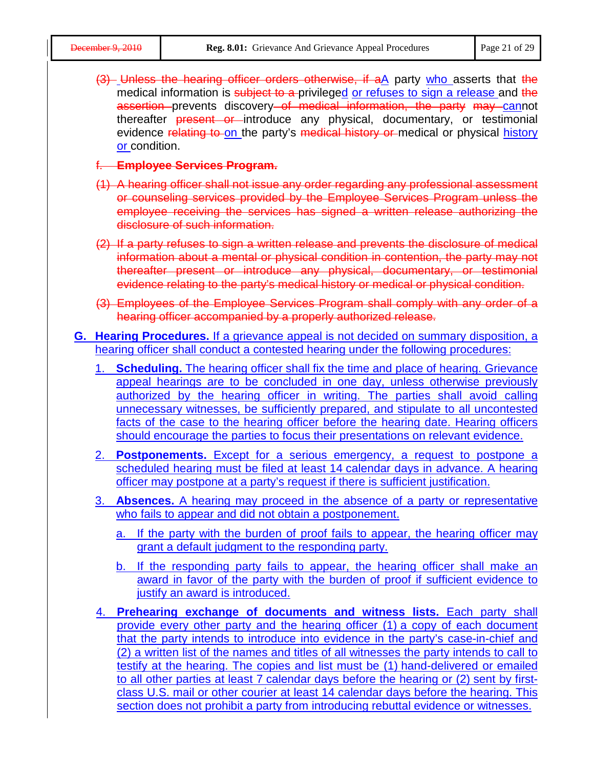| (3) Unless the hearing officer orders otherwise, if aA party who asserts that the<br>medical information is subject to a privileged or refuses to sign a release and the<br>assertion prevents discovery of medical information, the party may cannot<br>thereafter <b>present or</b> introduce any physical, documentary, or testimonial<br>evidence relating to on the party's medical history or medical or physical history<br>or condition.                                                                                                                                                                            |  |
|-----------------------------------------------------------------------------------------------------------------------------------------------------------------------------------------------------------------------------------------------------------------------------------------------------------------------------------------------------------------------------------------------------------------------------------------------------------------------------------------------------------------------------------------------------------------------------------------------------------------------------|--|
| f. Employee Services Program.                                                                                                                                                                                                                                                                                                                                                                                                                                                                                                                                                                                               |  |
| (1) A hearing officer shall not issue any order regarding any professional assessment<br>or counseling services provided by the Employee Services Program unless the<br>employee receiving the services has signed a written release authorizing the<br>disclosure of such information.                                                                                                                                                                                                                                                                                                                                     |  |
| (2) If a party refuses to sign a written release and prevents the disclosure of medical<br>information about a mental or physical condition in contention, the party may not<br>thereafter present or introduce any physical, documentary, or testimonial<br>evidence relating to the party's medical history or medical or physical condition.                                                                                                                                                                                                                                                                             |  |
| (3) Employees of the Employee Services Program shall comply with any order of a<br>hearing officer accompanied by a properly authorized release.                                                                                                                                                                                                                                                                                                                                                                                                                                                                            |  |
| G. Hearing Procedures. If a grievance appeal is not decided on summary disposition, a<br>hearing officer shall conduct a contested hearing under the following procedures:                                                                                                                                                                                                                                                                                                                                                                                                                                                  |  |
| 1. Scheduling. The hearing officer shall fix the time and place of hearing. Grievance<br>appeal hearings are to be concluded in one day, unless otherwise previously<br>authorized by the hearing officer in writing. The parties shall avoid calling<br>unnecessary witnesses, be sufficiently prepared, and stipulate to all uncontested<br>facts of the case to the hearing officer before the hearing date. Hearing officers<br>should encourage the parties to focus their presentations on relevant evidence.                                                                                                         |  |
| 2. Postponements. Except for a serious emergency, a request to postpone a<br>scheduled hearing must be filed at least 14 calendar days in advance. A hearing<br>officer may postpone at a party's request if there is sufficient justification.                                                                                                                                                                                                                                                                                                                                                                             |  |
| 3. Absences. A hearing may proceed in the absence of a party or representative<br>who fails to appear and did not obtain a postponement.                                                                                                                                                                                                                                                                                                                                                                                                                                                                                    |  |
| a. If the party with the burden of proof fails to appear, the hearing officer may<br>grant a default judgment to the responding party.                                                                                                                                                                                                                                                                                                                                                                                                                                                                                      |  |
| b. If the responding party fails to appear, the hearing officer shall make an<br>award in favor of the party with the burden of proof if sufficient evidence to<br>justify an award is introduced.                                                                                                                                                                                                                                                                                                                                                                                                                          |  |
| 4. Prehearing exchange of documents and witness lists. Each party shall                                                                                                                                                                                                                                                                                                                                                                                                                                                                                                                                                     |  |
| provide every other party and the hearing officer (1) a copy of each document<br>that the party intends to introduce into evidence in the party's case-in-chief and<br>(2) a written list of the names and titles of all witnesses the party intends to call to<br>testify at the hearing. The copies and list must be (1) hand-delivered or emailed<br>to all other parties at least 7 calendar days before the hearing or (2) sent by first-<br>class U.S. mail or other courier at least 14 calendar days before the hearing. This<br>section does not prohibit a party from introducing rebuttal evidence or witnesses. |  |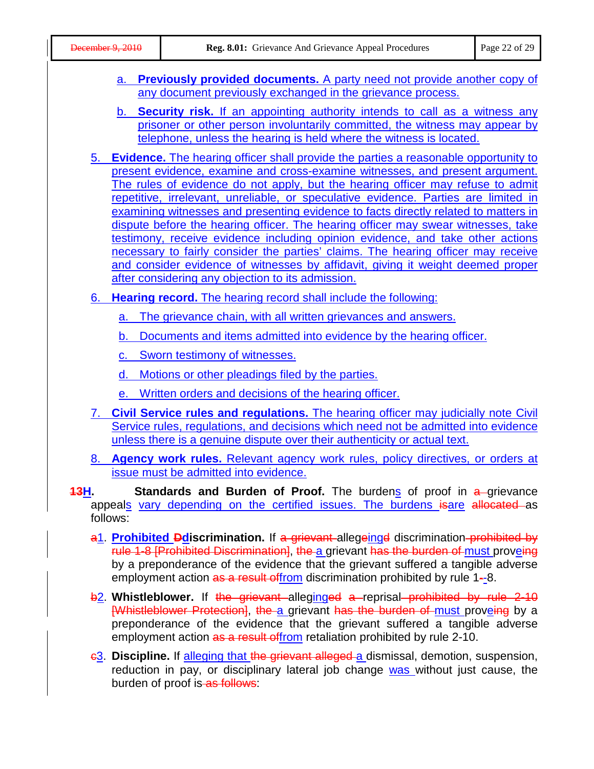| December 9, 2010 |          | Reg. 8.01: Grievance And Grievance Appeal Procedures                                                                                                                                                                                                                                                                                                                                                                                                                                                                                                                                                                                                                                                                                                                                                                                            | Page 22 of 29 |
|------------------|----------|-------------------------------------------------------------------------------------------------------------------------------------------------------------------------------------------------------------------------------------------------------------------------------------------------------------------------------------------------------------------------------------------------------------------------------------------------------------------------------------------------------------------------------------------------------------------------------------------------------------------------------------------------------------------------------------------------------------------------------------------------------------------------------------------------------------------------------------------------|---------------|
|                  |          | a. Previously provided documents. A party need not provide another copy of<br>any document previously exchanged in the grievance process.                                                                                                                                                                                                                                                                                                                                                                                                                                                                                                                                                                                                                                                                                                       |               |
|                  |          | b. Security risk. If an appointing authority intends to call as a witness any<br>prisoner or other person involuntarily committed, the witness may appear by<br>telephone, unless the hearing is held where the witness is located.                                                                                                                                                                                                                                                                                                                                                                                                                                                                                                                                                                                                             |               |
| 5.               |          | <b>Evidence.</b> The hearing officer shall provide the parties a reasonable opportunity to<br>present evidence, examine and cross-examine witnesses, and present argument.<br>The rules of evidence do not apply, but the hearing officer may refuse to admit<br>repetitive, irrelevant, unreliable, or speculative evidence. Parties are limited in<br>examining witnesses and presenting evidence to facts directly related to matters in<br>dispute before the hearing officer. The hearing officer may swear witnesses, take<br>testimony, receive evidence including opinion evidence, and take other actions<br>necessary to fairly consider the parties' claims. The hearing officer may receive<br>and consider evidence of witnesses by affidavit, giving it weight deemed proper<br>after considering any objection to its admission. |               |
| 6.               |          | <b>Hearing record.</b> The hearing record shall include the following:                                                                                                                                                                                                                                                                                                                                                                                                                                                                                                                                                                                                                                                                                                                                                                          |               |
|                  |          | a. The grievance chain, with all written grievances and answers.                                                                                                                                                                                                                                                                                                                                                                                                                                                                                                                                                                                                                                                                                                                                                                                |               |
|                  | b.       | Documents and items admitted into evidence by the hearing officer.                                                                                                                                                                                                                                                                                                                                                                                                                                                                                                                                                                                                                                                                                                                                                                              |               |
|                  | С.       | Sworn testimony of witnesses.                                                                                                                                                                                                                                                                                                                                                                                                                                                                                                                                                                                                                                                                                                                                                                                                                   |               |
|                  | d.       | Motions or other pleadings filed by the parties.                                                                                                                                                                                                                                                                                                                                                                                                                                                                                                                                                                                                                                                                                                                                                                                                |               |
|                  | е.       | Written orders and decisions of the hearing officer.                                                                                                                                                                                                                                                                                                                                                                                                                                                                                                                                                                                                                                                                                                                                                                                            |               |
|                  |          | 7. Civil Service rules and regulations. The hearing officer may judicially note Civil<br>Service rules, regulations, and decisions which need not be admitted into evidence<br>unless there is a genuine dispute over their authenticity or actual text.                                                                                                                                                                                                                                                                                                                                                                                                                                                                                                                                                                                        |               |
|                  |          | 8. Agency work rules. Relevant agency work rules, policy directives, or orders at<br><u>issue must be admitted into evidence.</u>                                                                                                                                                                                                                                                                                                                                                                                                                                                                                                                                                                                                                                                                                                               |               |
| <u> 13Н. </u>    | follows: | <b>Standards and Burden of Proof.</b> The burdens of proof in a-grievance<br>appeals vary depending on the certified issues. The burdens isare allocated as                                                                                                                                                                                                                                                                                                                                                                                                                                                                                                                                                                                                                                                                                     |               |
|                  |          | a1 Prohibited Ddiscrimination. If a grievant allegeingd discrimination prohibited by<br>rule 1-8 [Prohibited Discrimination], the a grievant has the burden of must proveing<br>by a preponderance of the evidence that the grievant suffered a tangible adverse<br>employment action as a result offrom discrimination prohibited by rule 1-8.                                                                                                                                                                                                                                                                                                                                                                                                                                                                                                 |               |
|                  |          | $b2$ . Whistleblower. If the grievant alleginged a reprisal prohibited by rule 2-10<br>[Whistleblower Protection], the a grievant has the burden of must proveing by a<br>preponderance of the evidence that the grievant suffered a tangible adverse<br>employment action as a result offrom retaliation prohibited by rule 2-10.                                                                                                                                                                                                                                                                                                                                                                                                                                                                                                              |               |
|                  |          | 63. Discipline. If alleging that the grievant alleged a dismissal, demotion, suspension,                                                                                                                                                                                                                                                                                                                                                                                                                                                                                                                                                                                                                                                                                                                                                        |               |

reduction in pay, or disciplinary lateral job change was without just cause, the burden of proof is as follows: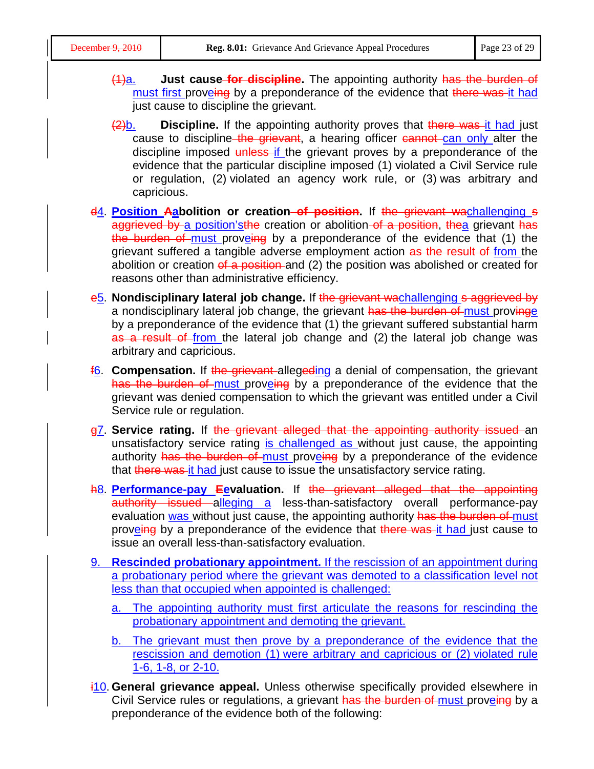- (1)a. **Just cause for discipline.** The appointing authority has the burden of must first proveing by a preponderance of the evidence that there was it had just cause to discipline the grievant.
- (2)b. **Discipline.** If the appointing authority proves that there was it had just cause to discipline the grievant, a hearing officer cannot can only alter the discipline imposed unless if the grievant proves by a preponderance of the evidence that the particular discipline imposed (1) violated a Civil Service rule or regulation, (2) violated an agency work rule, or (3) was arbitrary and capricious.
- d4. **Position Aabolition or creation of position.** If the grievant wachallenging s aggrieved by a position's the creation or abolition of a position, the a grievant has the burden of must proveing by a preponderance of the evidence that (1) the grievant suffered a tangible adverse employment action as the result of from the abolition or creation  $\frac{d}{dx}$  position and (2) the position was abolished or created for reasons other than administrative efficiency.
- e5. **Nondisciplinary lateral job change.** If the grievant wachallenging s aggrieved by a nondisciplinary lateral job change, the grievant has the burden of must provinge by a preponderance of the evidence that (1) the grievant suffered substantial harm as a result of from the lateral job change and (2) the lateral job change was arbitrary and capricious.
- f6. **Compensation.** If the grievant allegeding a denial of compensation, the grievant has the burden of must proveing by a preponderance of the evidence that the grievant was denied compensation to which the grievant was entitled under a Civil Service rule or regulation.
- g7. **Service rating.** If the grievant alleged that the appointing authority issued an unsatisfactory service rating is challenged as without just cause, the appointing authority has the burden of must proveing by a preponderance of the evidence that there was it had just cause to issue the unsatisfactory service rating.
- h8. **Performance-pay Eevaluation.** If the grievant alleged that the appointing authority issued alleging a less-than-satisfactory overall performance-pay evaluation was without just cause, the appointing authority has the burden of must proveing by a preponderance of the evidence that there was it had just cause to issue an overall less-than-satisfactory evaluation.
- 9. **Rescinded probationary appointment.** If the rescission of an appointment during a probationary period where the grievant was demoted to a classification level not less than that occupied when appointed is challenged:
	- a. The appointing authority must first articulate the reasons for rescinding the probationary appointment and demoting the grievant.
	- b. The grievant must then prove by a preponderance of the evidence that the rescission and demotion (1) were arbitrary and capricious or (2) violated rule 1-6, 1-8, or 2-10.
- **i10. General grievance appeal.** Unless otherwise specifically provided elsewhere in Civil Service rules or regulations, a grievant has the burden of must proveing by a preponderance of the evidence both of the following: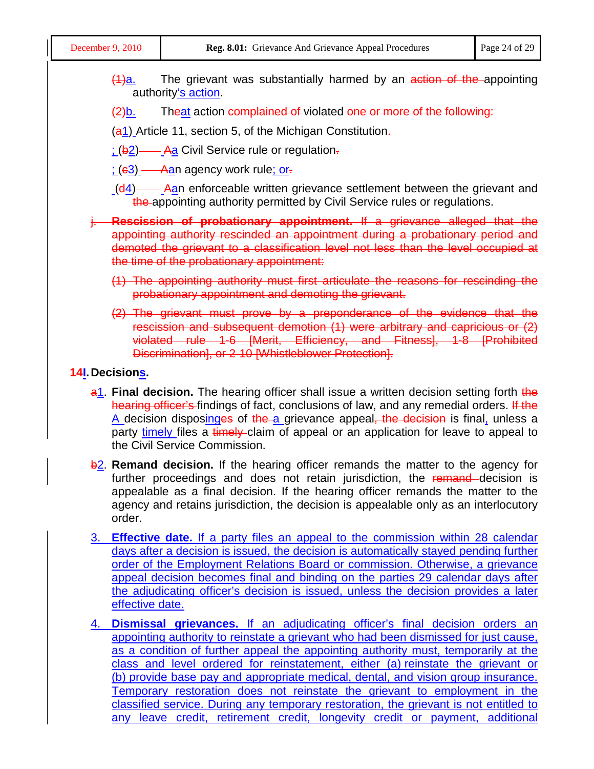$\frac{1}{2}$ . The grievant was substantially harmed by an action of the appointing authority's action.

(2)b. Theat action complained of violated one or more of the following:

(a1) Article 11, section 5, of the Michigan Constitution.

- $(62)$  Aa Civil Service rule or regulation.
- $\frac{1}{2}$  ( $\frac{63}{2}$  Aan agency work rule; or-
- $(d4)$  Aan enforceable written grievance settlement between the grievant and the appointing authority permitted by Civil Service rules or regulations.
- j. **Rescission of probationary appointment.** If a grievance alleged that the appointing authority rescinded an appointment during a probationary period and demoted the grievant to a classification level not less than the level occupied at the time of the probationary appointment:
	- (1) The appointing authority must first articulate the reasons for rescinding the probationary appointment and demoting the grievant.
	- (2) The grievant must prove by a preponderance of the evidence that the rescission and subsequent demotion (1) were arbitrary and capricious or (2) violated rule 1-6 [Merit, Efficiency, and Fitness], 1-8 [Prohibited Discrimination], or 2-10 [Whistleblower Protection].

#### **14I.Decisions.**

- a1. **Final decision.** The hearing officer shall issue a written decision setting forth the hearing officer's findings of fact, conclusions of law, and any remedial orders. If the A decision disposinges of the a grievance appeal, the decision is final, unless a party timely files a timely-claim of appeal or an application for leave to appeal to the Civil Service Commission.
- b2. **Remand decision.** If the hearing officer remands the matter to the agency for further proceedings and does not retain jurisdiction, the remand decision is appealable as a final decision. If the hearing officer remands the matter to the agency and retains jurisdiction, the decision is appealable only as an interlocutory order.
- 3. **Effective date.** If a party files an appeal to the commission within 28 calendar days after a decision is issued, the decision is automatically stayed pending further order of the Employment Relations Board or commission. Otherwise, a grievance appeal decision becomes final and binding on the parties 29 calendar days after the adjudicating officer's decision is issued, unless the decision provides a later effective date.
- 4. **Dismissal grievances.** If an adjudicating officer's final decision orders an appointing authority to reinstate a grievant who had been dismissed for just cause, as a condition of further appeal the appointing authority must, temporarily at the class and level ordered for reinstatement, either (a) reinstate the grievant or (b) provide base pay and appropriate medical, dental, and vision group insurance. Temporary restoration does not reinstate the grievant to employment in the classified service. During any temporary restoration, the grievant is not entitled to any leave credit, retirement credit, longevity credit or payment, additional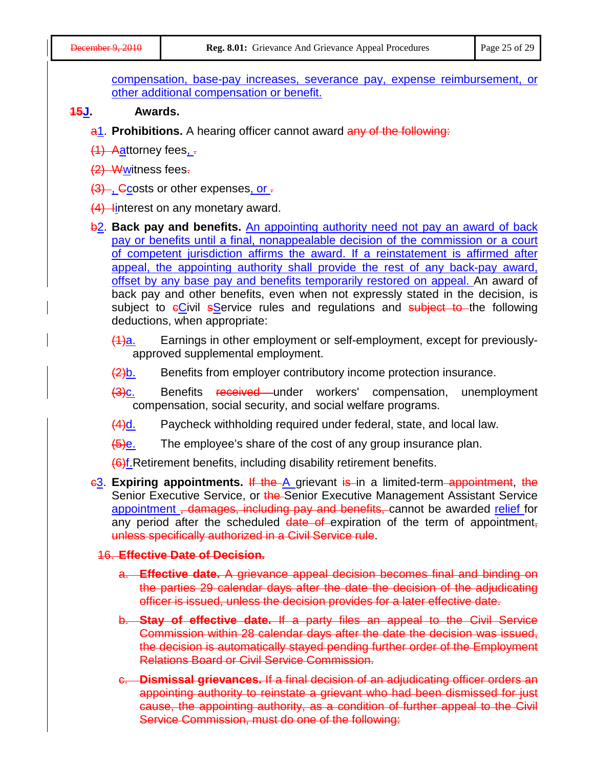compensation, base-pay increases, severance pay, expense reimbursement, or other additional compensation or benefit.

#### **15J. Awards.**

- a1. **Prohibitions.** A hearing officer cannot award any of the following:
- $(1)$  Aattorney fees,  $\overline{z}$
- (2) Wwitness fees.
- $(3)$ , Ccosts or other expenses, or  $\overline{z}$ .
- $(4)$  -linterest on any monetary award.
- b2. **Back pay and benefits.** An appointing authority need not pay an award of back pay or benefits until a final, nonappealable decision of the commission or a court of competent jurisdiction affirms the award. If a reinstatement is affirmed after appeal, the appointing authority shall provide the rest of any back-pay award, offset by any base pay and benefits temporarily restored on appeal. An award of back pay and other benefits, even when not expressly stated in the decision, is subject to **eCivil sService** rules and regulations and **subject to** the following deductions, when appropriate:
	- (1)a. Earnings in other employment or self-employment, except for previouslyapproved supplemental employment.
	- $\frac{2}{b}$ . Benefits from employer contributory income protection insurance.

(3)<sub>C.</sub> Benefits received under workers' compensation, unemployment compensation, social security, and social welfare programs.

- (4)d. Paycheck withholding required under federal, state, and local law.
- $\overline{(5)}$ e. The employee's share of the cost of any group insurance plan.

(6)f.Retirement benefits, including disability retirement benefits.

**63. Expiring appointments.** If the A grievant is in a limited-term appointment, the Senior Executive Service, or the Senior Executive Management Assistant Service appointment, damages, including pay and benefits, cannot be awarded relief for any period after the scheduled  $\frac{d}{dt}$  destertation of the term of appointment, unless specifically authorized in a Civil Service rule.

#### 16. **Effective Date of Decision.**

- a. **Effective date.** A grievance appeal decision becomes final and binding on the parties 29 calendar days after the date the decision of the adjudicating officer is issued, unless the decision provides for a later effective date.
- b. **Stay of effective date.** If a party files an appeal to the Civil Service Commission within 28 calendar days after the date the decision was issued, the decision is automatically stayed pending further order of the Employment Relations Board or Civil Service Commission.
- c. **Dismissal grievances.** If a final decision of an adjudicating officer orders an appointing authority to reinstate a grievant who had been dismissed for just cause, the appointing authority, as a condition of further appeal to the Civil Service Commission, must do one of the following: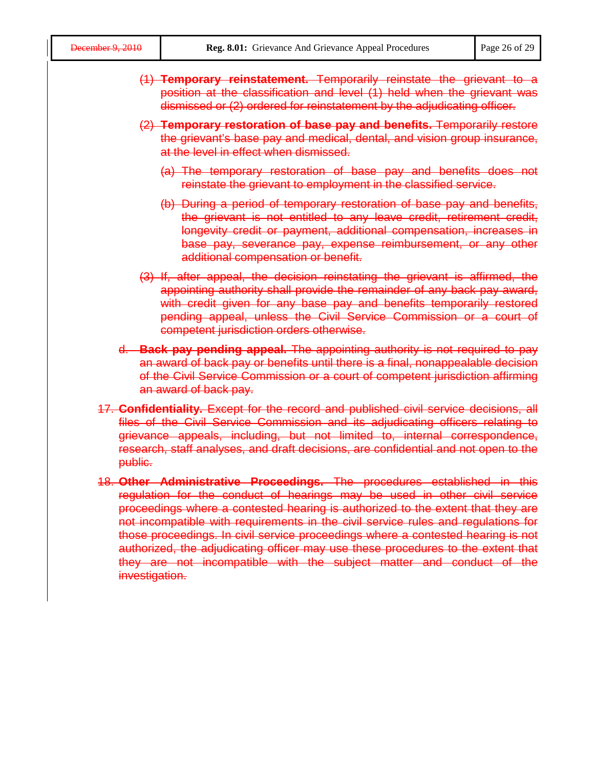| December 9, 2010 |  |  |  |  |
|------------------|--|--|--|--|
|                  |  |  |  |  |

- (1) **Temporary reinstatement.** Temporarily reinstate the grievant to a position at the classification and level (1) held when the grievant was dismissed or (2) ordered for reinstatement by the adjudicating officer.
	- (2) **Temporary restoration of base pay and benefits.** Temporarily restore the grievant's base pay and medical, dental, and vision group insurance, at the level in effect when dismissed.
		- (a) The temporary restoration of base pay and benefits does not reinstate the grievant to employment in the classified service.
		- (b) During a period of temporary restoration of base pay and benefits, the grievant is not entitled to any leave credit, retirement credit, longevity credit or payment, additional compensation, increases in base pay, severance pay, expense reimbursement, or any other additional compensation or benefit.
	- (3) If, after appeal, the decision reinstating the grievant is affirmed, the appointing authority shall provide the remainder of any back pay award, with credit given for any base pay and benefits temporarily restored pending appeal, unless the Civil Service Commission or a court of competent jurisdiction orders otherwise.
- d. **Back pay pending appeal.** The appointing authority is not required to pay an award of back pay or benefits until there is a final, nonappealable decision of the Civil Service Commission or a court of competent jurisdiction affirming an award of back pay.
- 17. **Confidentiality.** Except for the record and published civil service decisions, all files of the Civil Service Commission and its adjudicating officers relating to grievance appeals, including, but not limited to, internal correspondence, research, staff analyses, and draft decisions, are confidential and not open to the public.
- 18. **Other Administrative Proceedings.** The procedures established in this regulation for the conduct of hearings may be used in other civil service proceedings where a contested hearing is authorized to the extent that they are not incompatible with requirements in the civil service rules and regulations for those proceedings. In civil service proceedings where a contested hearing is not authorized, the adjudicating officer may use these procedures to the extent that they are not incompatible with the subject matter and conduct of the investigation.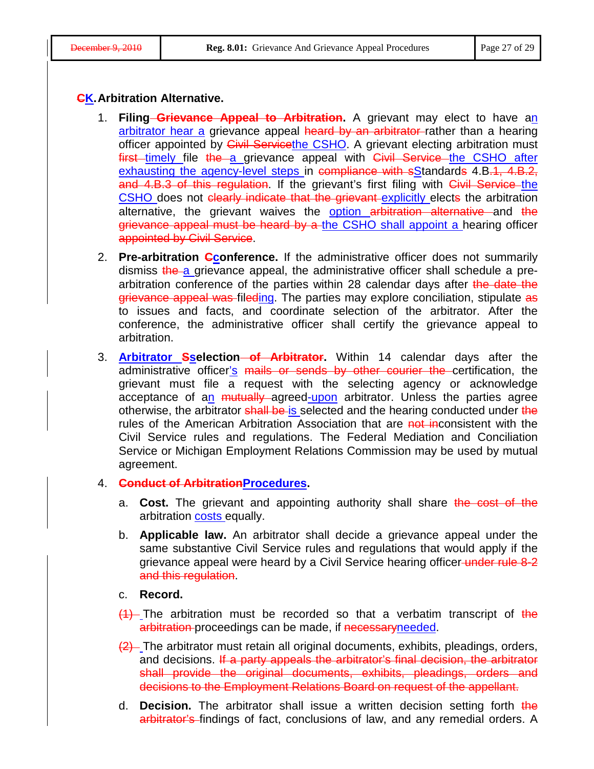#### **CK.Arbitration Alternative.**

- 1. **Filing Grievance Appeal to Arbitration.** A grievant may elect to have an arbitrator hear a grievance appeal heard by an arbitrator rather than a hearing officer appointed by *Civil Servicethe CSHO*. A grievant electing arbitration must first timely file the a grievance appeal with Civil Service the CSHO after exhausting the agency-level steps in compliance with sStandards 4.B.1, 4.B.2, and 4.B.3 of this regulation. If the grievant's first filing with Civil Service the CSHO does not clearly indicate that the grievant explicitly elects the arbitration alternative, the grievant waives the option arbitration alternative and the grievance appeal must be heard by a the CSHO shall appoint a hearing officer appointed by Civil Service.
- 2. **Pre-arbitration Cconference.** If the administrative officer does not summarily dismiss the a grievance appeal, the administrative officer shall schedule a prearbitration conference of the parties within 28 calendar days after the date the grievance appeal was fileding. The parties may explore conciliation, stipulate as to issues and facts, and coordinate selection of the arbitrator. After the conference, the administrative officer shall certify the grievance appeal to arbitration.
- 3. **Arbitrator Sselection of Arbitrator.** Within 14 calendar days after the administrative officer's mails or sends by other courier the certification, the grievant must file a request with the selecting agency or acknowledge acceptance of an *mutually* agreed-upon arbitrator. Unless the parties agree otherwise, the arbitrator shall be is selected and the hearing conducted under the rules of the American Arbitration Association that are not inconsistent with the Civil Service rules and regulations. The Federal Mediation and Conciliation Service or Michigan Employment Relations Commission may be used by mutual agreement.

#### 4. **Conduct of ArbitrationProcedures.**

- a. **Cost.** The grievant and appointing authority shall share the cost of the arbitration **costs** equally.
- b. **Applicable law.** An arbitrator shall decide a grievance appeal under the same substantive Civil Service rules and regulations that would apply if the grievance appeal were heard by a Civil Service hearing officer-under rule 8-2 and this regulation.
- c. **Record.**
- $(1)$  The arbitration must be recorded so that a verbatim transcript of the arbitration proceedings can be made, if necessaryneeded.
- $(2)$  The arbitrator must retain all original documents, exhibits, pleadings, orders, and decisions. If a party appeals the arbitrator's final decision, the arbitrator shall provide the original documents, exhibits, pleadings, orders and decisions to the Employment Relations Board on request of the appellant.
- d. **Decision.** The arbitrator shall issue a written decision setting forth the arbitrator's findings of fact, conclusions of law, and any remedial orders. A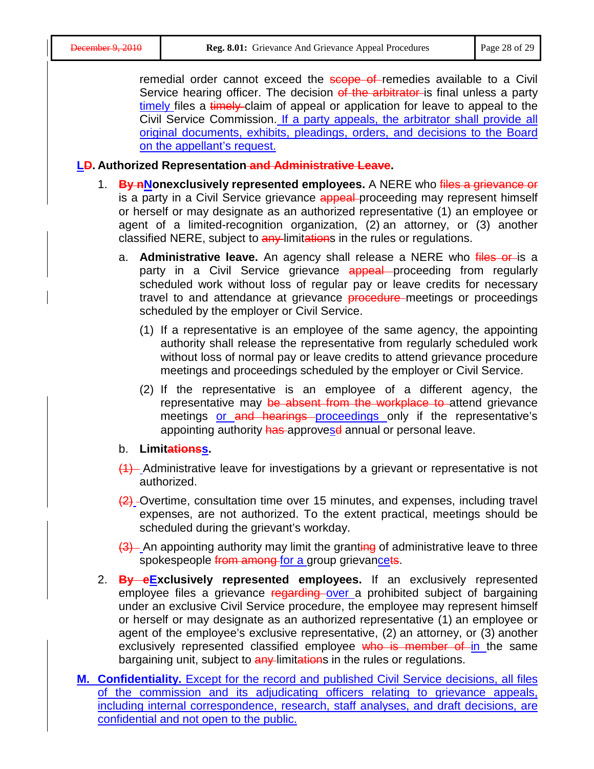remedial order cannot exceed the **scope of** remedies available to a Civil Service hearing officer. The decision of the arbitrator-is final unless a party timely files a timely claim of appeal or application for leave to appeal to the Civil Service Commission. If a party appeals, the arbitrator shall provide all original documents, exhibits, pleadings, orders, and decisions to the Board on the appellant's request.

#### **LD. Authorized Representation and Administrative Leave.**

- 1. **By nNonexclusively represented employees.** A NERE who files a grievance or is a party in a Civil Service grievance appeal proceeding may represent himself or herself or may designate as an authorized representative (1) an employee or agent of a limited-recognition organization, (2) an attorney, or (3) another classified NERE, subject to any limitations in the rules or regulations.
	- a. **Administrative leave.** An agency shall release a NERE who files or is a party in a Civil Service grievance appeal proceeding from regularly scheduled work without loss of regular pay or leave credits for necessary travel to and attendance at grievance **procedure** meetings or proceedings scheduled by the employer or Civil Service.
		- (1) If a representative is an employee of the same agency, the appointing authority shall release the representative from regularly scheduled work without loss of normal pay or leave credits to attend grievance procedure meetings and proceedings scheduled by the employer or Civil Service.
		- (2) If the representative is an employee of a different agency, the representative may be absent from the workplace to attend grievance meetings or and hearings proceedings only if the representative's appointing authority has approvesd annual or personal leave.
	- b. **Limitationss.**
	- $(1)$  Administrative leave for investigations by a grievant or representative is not authorized.
	- $\frac{2}{2}$ -Overtime, consultation time over 15 minutes, and expenses, including travel expenses, are not authorized. To the extent practical, meetings should be scheduled during the grievant's workday.
	- $\frac{1}{3}$  An appointing authority may limit the granting of administrative leave to three spokespeople from among for a group grievancets.
- 2. **By eExclusively represented employees.** If an exclusively represented employee files a grievance regarding over a prohibited subject of bargaining under an exclusive Civil Service procedure, the employee may represent himself or herself or may designate as an authorized representative (1) an employee or agent of the employee's exclusive representative, (2) an attorney, or (3) another exclusively represented classified employee who is member of in the same bargaining unit, subject to any limitations in the rules or regulations.
- **M. Confidentiality.** Except for the record and published Civil Service decisions, all files of the commission and its adjudicating officers relating to grievance appeals, including internal correspondence, research, staff analyses, and draft decisions, are confidential and not open to the public.